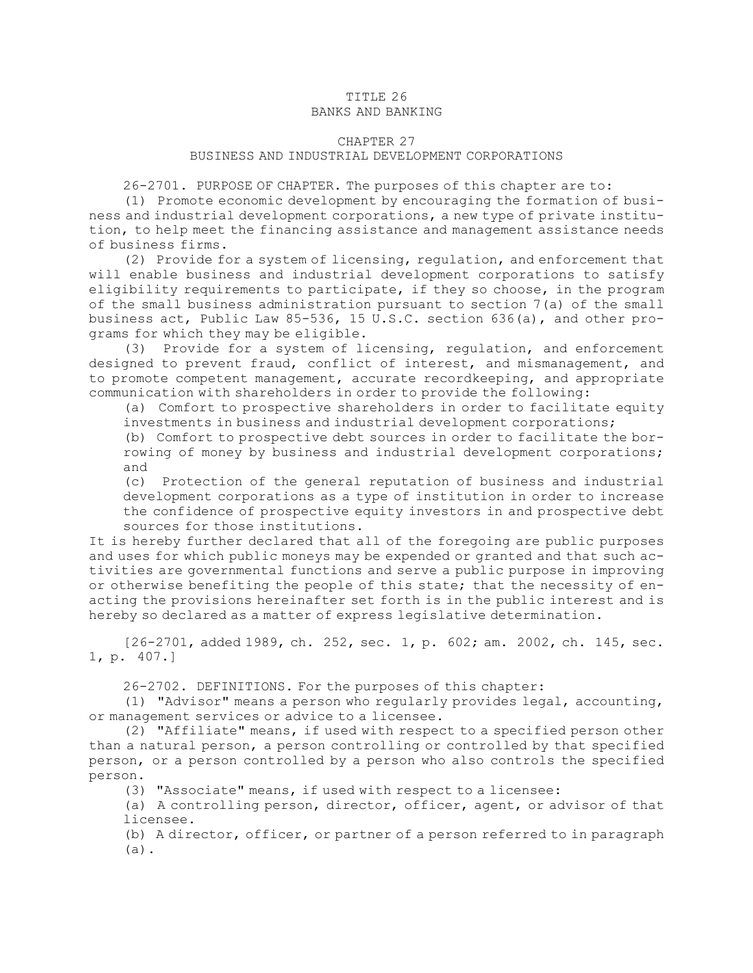## TITLE 26 BANKS AND BANKING

## CHAPTER 27

## BUSINESS AND INDUSTRIAL DEVELOPMENT CORPORATIONS

26-2701. PURPOSE OF CHAPTER. The purposes of this chapter are to:

(1) Promote economic development by encouraging the formation of business and industrial development corporations, <sup>a</sup> new type of private institution, to help meet the financing assistance and management assistance needs of business firms.

(2) Provide for <sup>a</sup> system of licensing, regulation, and enforcement that will enable business and industrial development corporations to satisfy eligibility requirements to participate, if they so choose, in the program of the small business administration pursuant to section 7(a) of the small business act, Public Law 85-536, 15 U.S.C. section 636(a), and other programs for which they may be eligible.

(3) Provide for <sup>a</sup> system of licensing, regulation, and enforcement designed to prevent fraud, conflict of interest, and mismanagement, and to promote competent management, accurate recordkeeping, and appropriate communication with shareholders in order to provide the following:

(a) Comfort to prospective shareholders in order to facilitate equity investments in business and industrial development corporations;

(b) Comfort to prospective debt sources in order to facilitate the borrowing of money by business and industrial development corporations; and

(c) Protection of the general reputation of business and industrial development corporations as <sup>a</sup> type of institution in order to increase the confidence of prospective equity investors in and prospective debt sources for those institutions.

It is hereby further declared that all of the foregoing are public purposes and uses for which public moneys may be expended or granted and that such activities are governmental functions and serve <sup>a</sup> public purpose in improving or otherwise benefiting the people of this state; that the necessity of enacting the provisions hereinafter set forth is in the public interest and is hereby so declared as <sup>a</sup> matter of express legislative determination.

[26-2701, added 1989, ch. 252, sec. 1, p. 602; am. 2002, ch. 145, sec. 1, p. 407.]

26-2702. DEFINITIONS. For the purposes of this chapter:

(1) "Advisor" means <sup>a</sup> person who regularly provides legal, accounting, or management services or advice to <sup>a</sup> licensee.

(2) "Affiliate" means, if used with respect to <sup>a</sup> specified person other than <sup>a</sup> natural person, <sup>a</sup> person controlling or controlled by that specified person, or <sup>a</sup> person controlled by <sup>a</sup> person who also controls the specified person.

(3) "Associate" means, if used with respect to <sup>a</sup> licensee:

(a) <sup>A</sup> controlling person, director, officer, agent, or advisor of that licensee.

(b) <sup>A</sup> director, officer, or partner of <sup>a</sup> person referred to in paragraph (a).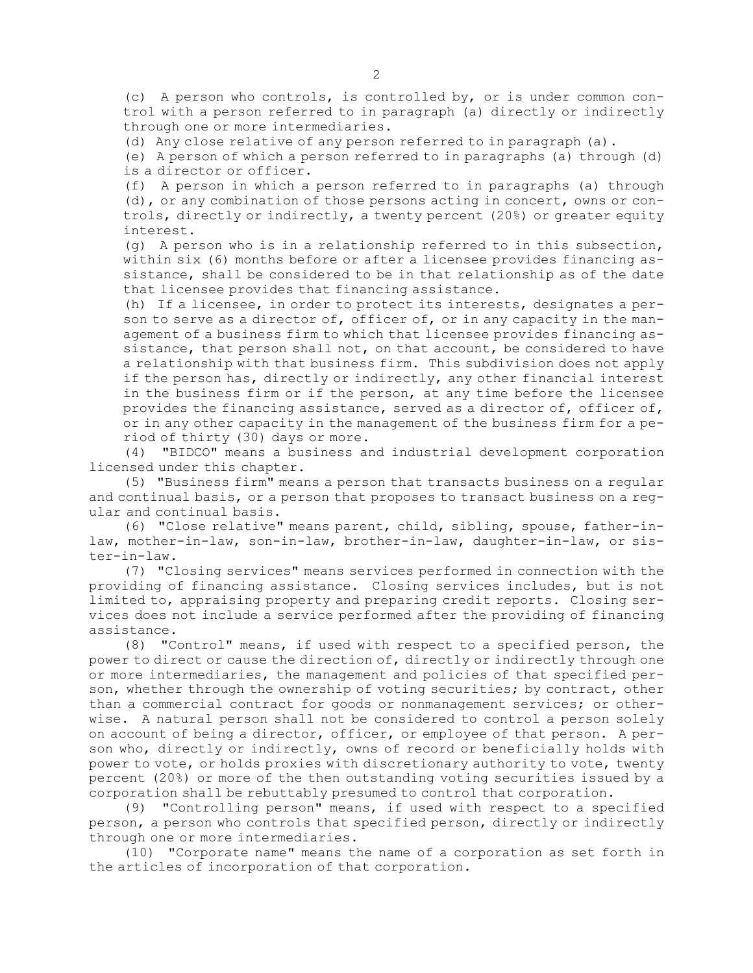(c) <sup>A</sup> person who controls, is controlled by, or is under common control with <sup>a</sup> person referred to in paragraph (a) directly or indirectly through one or more intermediaries.

(d) Any close relative of any person referred to in paragraph (a).

(e) <sup>A</sup> person of which <sup>a</sup> person referred to in paragraphs (a) through (d) is <sup>a</sup> director or officer.

(f) <sup>A</sup> person in which <sup>a</sup> person referred to in paragraphs (a) through (d), or any combination of those persons acting in concert, owns or controls, directly or indirectly, <sup>a</sup> twenty percent (20%) or greater equity interest.

(g) <sup>A</sup> person who is in <sup>a</sup> relationship referred to in this subsection, within six (6) months before or after <sup>a</sup> licensee provides financing assistance, shall be considered to be in that relationship as of the date that licensee provides that financing assistance.

(h) If <sup>a</sup> licensee, in order to protect its interests, designates <sup>a</sup> person to serve as <sup>a</sup> director of, officer of, or in any capacity in the management of <sup>a</sup> business firm to which that licensee provides financing assistance, that person shall not, on that account, be considered to have <sup>a</sup> relationship with that business firm. This subdivision does not apply if the person has, directly or indirectly, any other financial interest in the business firm or if the person, at any time before the licensee provides the financing assistance, served as <sup>a</sup> director of, officer of, or in any other capacity in the management of the business firm for <sup>a</sup> period of thirty (30) days or more.

(4) "BIDCO" means <sup>a</sup> business and industrial development corporation licensed under this chapter.

(5) "Business firm" means <sup>a</sup> person that transacts business on <sup>a</sup> regular and continual basis, or <sup>a</sup> person that proposes to transact business on <sup>a</sup> regular and continual basis.

(6) "Close relative" means parent, child, sibling, spouse, father-inlaw, mother-in-law, son-in-law, brother-in-law, daughter-in-law, or sister-in-law.

(7) "Closing services" means services performed in connection with the providing of financing assistance. Closing services includes, but is not limited to, appraising property and preparing credit reports. Closing services does not include <sup>a</sup> service performed after the providing of financing assistance.

(8) "Control" means, if used with respect to <sup>a</sup> specified person, the power to direct or cause the direction of, directly or indirectly through one or more intermediaries, the management and policies of that specified person, whether through the ownership of voting securities; by contract, other than <sup>a</sup> commercial contract for goods or nonmanagement services; or otherwise. <sup>A</sup> natural person shall not be considered to control <sup>a</sup> person solely on account of being <sup>a</sup> director, officer, or employee of that person. <sup>A</sup> person who, directly or indirectly, owns of record or beneficially holds with power to vote, or holds proxies with discretionary authority to vote, twenty percent (20%) or more of the then outstanding voting securities issued by <sup>a</sup> corporation shall be rebuttably presumed to control that corporation.

(9) "Controlling person" means, if used with respect to <sup>a</sup> specified person, <sup>a</sup> person who controls that specified person, directly or indirectly through one or more intermediaries.

(10) "Corporate name" means the name of <sup>a</sup> corporation as set forth in the articles of incorporation of that corporation.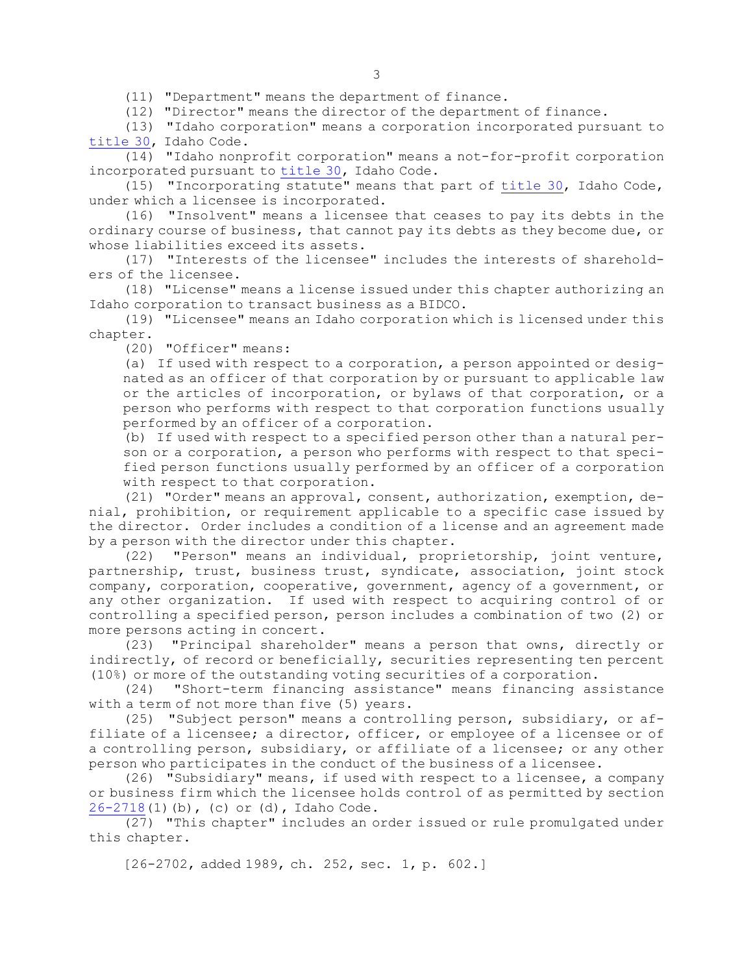(11) "Department" means the department of finance.

(12) "Director" means the director of the department of finance.

(13) "Idaho corporation" means <sup>a</sup> corporation incorporated pursuant to [title](https://legislature.idaho.gov/statutesrules/idstat/Title30/T30) 30, Idaho Code.

(14) "Idaho nonprofit corporation" means <sup>a</sup> not-for-profit corporation incorporated pursuant to [title](https://legislature.idaho.gov/statutesrules/idstat/Title30/T30) 30, Idaho Code.

(15) "Incorporating statute" means that part of [title](https://legislature.idaho.gov/statutesrules/idstat/Title30/T30) 30, Idaho Code, under which <sup>a</sup> licensee is incorporated.

(16) "Insolvent" means <sup>a</sup> licensee that ceases to pay its debts in the ordinary course of business, that cannot pay its debts as they become due, or whose liabilities exceed its assets.

(17) "Interests of the licensee" includes the interests of shareholders of the licensee.

(18) "License" means <sup>a</sup> license issued under this chapter authorizing an Idaho corporation to transact business as <sup>a</sup> BIDCO.

(19) "Licensee" means an Idaho corporation which is licensed under this chapter.

(20) "Officer" means:

(a) If used with respect to <sup>a</sup> corporation, <sup>a</sup> person appointed or designated as an officer of that corporation by or pursuant to applicable law or the articles of incorporation, or bylaws of that corporation, or <sup>a</sup> person who performs with respect to that corporation functions usually performed by an officer of <sup>a</sup> corporation.

(b) If used with respect to <sup>a</sup> specified person other than <sup>a</sup> natural person or <sup>a</sup> corporation, <sup>a</sup> person who performs with respect to that specified person functions usually performed by an officer of <sup>a</sup> corporation with respect to that corporation.

(21) "Order" means an approval, consent, authorization, exemption, denial, prohibition, or requirement applicable to <sup>a</sup> specific case issued by the director. Order includes <sup>a</sup> condition of <sup>a</sup> license and an agreement made by <sup>a</sup> person with the director under this chapter.

(22) "Person" means an individual, proprietorship, joint venture, partnership, trust, business trust, syndicate, association, joint stock company, corporation, cooperative, government, agency of <sup>a</sup> government, or any other organization. If used with respect to acquiring control of or controlling <sup>a</sup> specified person, person includes <sup>a</sup> combination of two (2) or more persons acting in concert.

(23) "Principal shareholder" means <sup>a</sup> person that owns, directly or indirectly, of record or beneficially, securities representing ten percent (10%) or more of the outstanding voting securities of <sup>a</sup> corporation.

(24) "Short-term financing assistance" means financing assistance with <sup>a</sup> term of not more than five (5) years.

(25) "Subject person" means <sup>a</sup> controlling person, subsidiary, or affiliate of <sup>a</sup> licensee; <sup>a</sup> director, officer, or employee of <sup>a</sup> licensee or of <sup>a</sup> controlling person, subsidiary, or affiliate of <sup>a</sup> licensee; or any other person who participates in the conduct of the business of <sup>a</sup> licensee.

(26) "Subsidiary" means, if used with respect to <sup>a</sup> licensee, <sup>a</sup> company or business firm which the licensee holds control of as permitted by section [26-2718](https://legislature.idaho.gov/statutesrules/idstat/Title26/T26CH27/SECT26-2718)(1)(b), (c) or (d), Idaho Code.

(27) "This chapter" includes an order issued or rule promulgated under this chapter.

[26-2702, added 1989, ch. 252, sec. 1, p. 602.]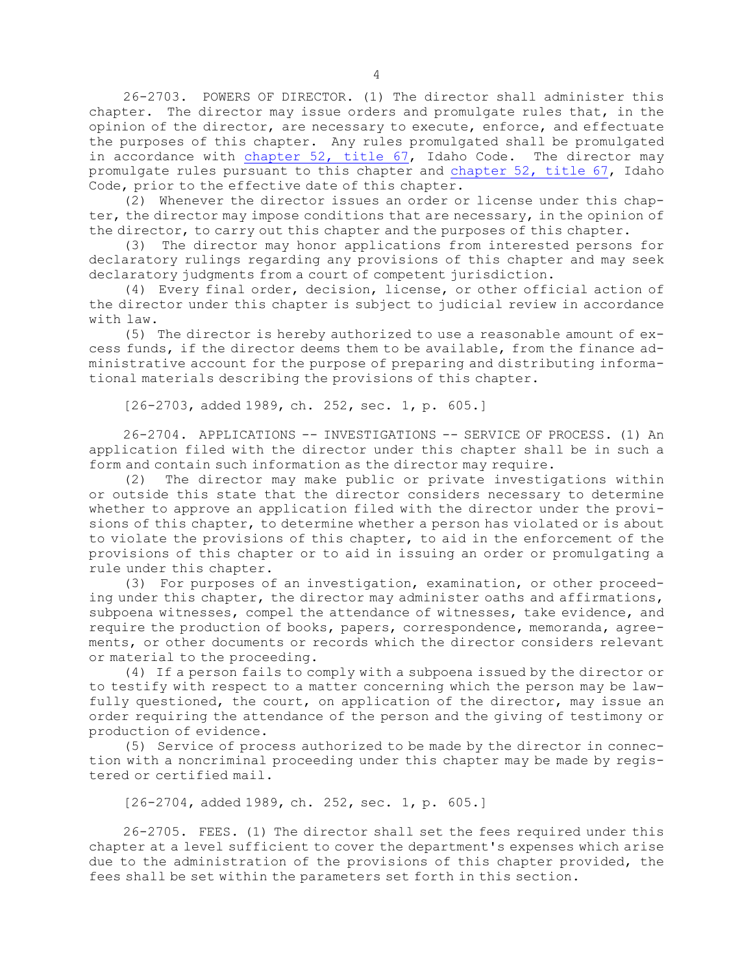26-2703. POWERS OF DIRECTOR. (1) The director shall administer this chapter. The director may issue orders and promulgate rules that, in the opinion of the director, are necessary to execute, enforce, and effectuate the purposes of this chapter. Any rules promulgated shall be promulgated in accordance with [chapter](https://legislature.idaho.gov/statutesrules/idstat/Title67/T67CH52) 52, title 67, Idaho Code. The director may promulgate rules pursuant to this chapter and [chapter](https://legislature.idaho.gov/statutesrules/idstat/Title67/T67CH52) 52, title 67, Idaho Code, prior to the effective date of this chapter.

(2) Whenever the director issues an order or license under this chapter, the director may impose conditions that are necessary, in the opinion of the director, to carry out this chapter and the purposes of this chapter.

(3) The director may honor applications from interested persons for declaratory rulings regarding any provisions of this chapter and may seek declaratory judgments from <sup>a</sup> court of competent jurisdiction.

(4) Every final order, decision, license, or other official action of the director under this chapter is subject to judicial review in accordance with law.

(5) The director is hereby authorized to use <sup>a</sup> reasonable amount of excess funds, if the director deems them to be available, from the finance administrative account for the purpose of preparing and distributing informational materials describing the provisions of this chapter.

[26-2703, added 1989, ch. 252, sec. 1, p. 605.]

26-2704. APPLICATIONS -- INVESTIGATIONS -- SERVICE OF PROCESS. (1) An application filed with the director under this chapter shall be in such <sup>a</sup> form and contain such information as the director may require.

(2) The director may make public or private investigations within or outside this state that the director considers necessary to determine whether to approve an application filed with the director under the provisions of this chapter, to determine whether <sup>a</sup> person has violated or is about to violate the provisions of this chapter, to aid in the enforcement of the provisions of this chapter or to aid in issuing an order or promulgating <sup>a</sup> rule under this chapter.

(3) For purposes of an investigation, examination, or other proceeding under this chapter, the director may administer oaths and affirmations, subpoena witnesses, compel the attendance of witnesses, take evidence, and require the production of books, papers, correspondence, memoranda, agreements, or other documents or records which the director considers relevant or material to the proceeding.

(4) If <sup>a</sup> person fails to comply with <sup>a</sup> subpoena issued by the director or to testify with respect to <sup>a</sup> matter concerning which the person may be lawfully questioned, the court, on application of the director, may issue an order requiring the attendance of the person and the giving of testimony or production of evidence.

(5) Service of process authorized to be made by the director in connection with <sup>a</sup> noncriminal proceeding under this chapter may be made by registered or certified mail.

[26-2704, added 1989, ch. 252, sec. 1, p. 605.]

26-2705. FEES. (1) The director shall set the fees required under this chapter at <sup>a</sup> level sufficient to cover the department's expenses which arise due to the administration of the provisions of this chapter provided, the fees shall be set within the parameters set forth in this section.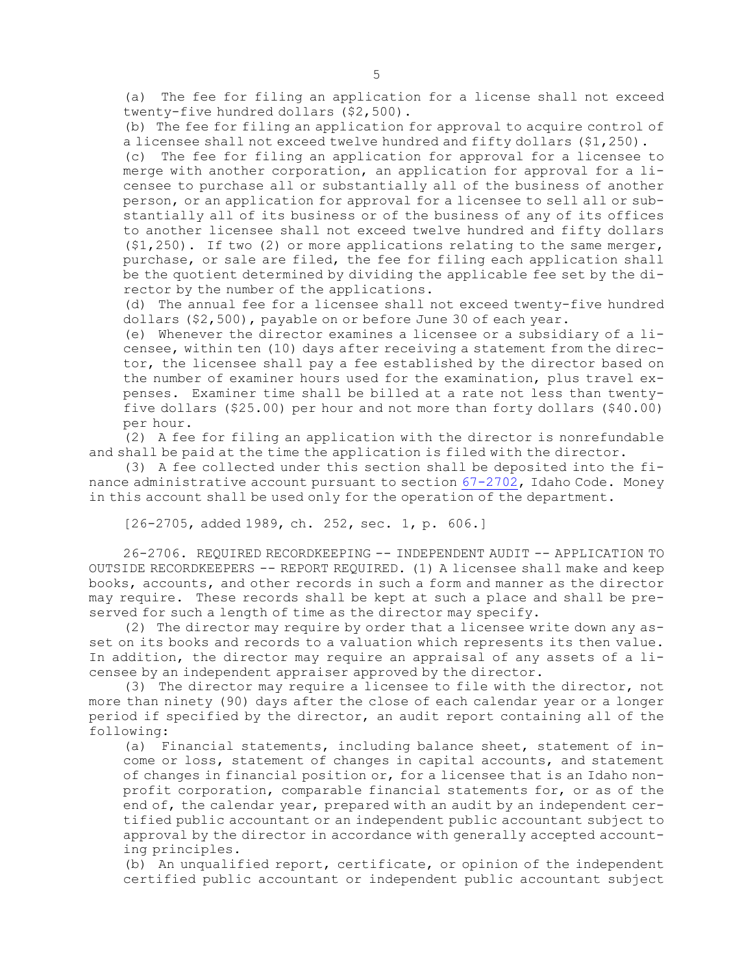(a) The fee for filing an application for <sup>a</sup> license shall not exceed twenty-five hundred dollars (\$2,500).

(b) The fee for filing an application for approval to acquire control of <sup>a</sup> licensee shall not exceed twelve hundred and fifty dollars (\$1,250).

(c) The fee for filing an application for approval for <sup>a</sup> licensee to merge with another corporation, an application for approval for <sup>a</sup> licensee to purchase all or substantially all of the business of another person, or an application for approval for <sup>a</sup> licensee to sell all or substantially all of its business or of the business of any of its offices to another licensee shall not exceed twelve hundred and fifty dollars  $(51,250)$ . If two  $(2)$  or more applications relating to the same merger, purchase, or sale are filed, the fee for filing each application shall be the quotient determined by dividing the applicable fee set by the director by the number of the applications.

(d) The annual fee for <sup>a</sup> licensee shall not exceed twenty-five hundred dollars (\$2,500), payable on or before June 30 of each year.

(e) Whenever the director examines <sup>a</sup> licensee or <sup>a</sup> subsidiary of <sup>a</sup> licensee, within ten (10) days after receiving <sup>a</sup> statement from the director, the licensee shall pay <sup>a</sup> fee established by the director based on the number of examiner hours used for the examination, plus travel expenses. Examiner time shall be billed at <sup>a</sup> rate not less than twentyfive dollars (\$25.00) per hour and not more than forty dollars (\$40.00) per hour.

(2) <sup>A</sup> fee for filing an application with the director is nonrefundable and shall be paid at the time the application is filed with the director.

(3) <sup>A</sup> fee collected under this section shall be deposited into the finance administrative account pursuant to section [67-2702](https://legislature.idaho.gov/statutesrules/idstat/Title67/T67CH27/SECT67-2702), Idaho Code. Money in this account shall be used only for the operation of the department.

[26-2705, added 1989, ch. 252, sec. 1, p. 606.]

26-2706. REQUIRED RECORDKEEPING -- INDEPENDENT AUDIT -- APPLICATION TO OUTSIDE RECORDKEEPERS -- REPORT REQUIRED. (1) <sup>A</sup> licensee shall make and keep books, accounts, and other records in such <sup>a</sup> form and manner as the director may require. These records shall be kept at such <sup>a</sup> place and shall be preserved for such <sup>a</sup> length of time as the director may specify.

(2) The director may require by order that <sup>a</sup> licensee write down any asset on its books and records to <sup>a</sup> valuation which represents its then value. In addition, the director may require an appraisal of any assets of <sup>a</sup> licensee by an independent appraiser approved by the director.

(3) The director may require <sup>a</sup> licensee to file with the director, not more than ninety (90) days after the close of each calendar year or <sup>a</sup> longer period if specified by the director, an audit report containing all of the following:

(a) Financial statements, including balance sheet, statement of income or loss, statement of changes in capital accounts, and statement of changes in financial position or, for <sup>a</sup> licensee that is an Idaho nonprofit corporation, comparable financial statements for, or as of the end of, the calendar year, prepared with an audit by an independent certified public accountant or an independent public accountant subject to approval by the director in accordance with generally accepted accounting principles.

(b) An unqualified report, certificate, or opinion of the independent certified public accountant or independent public accountant subject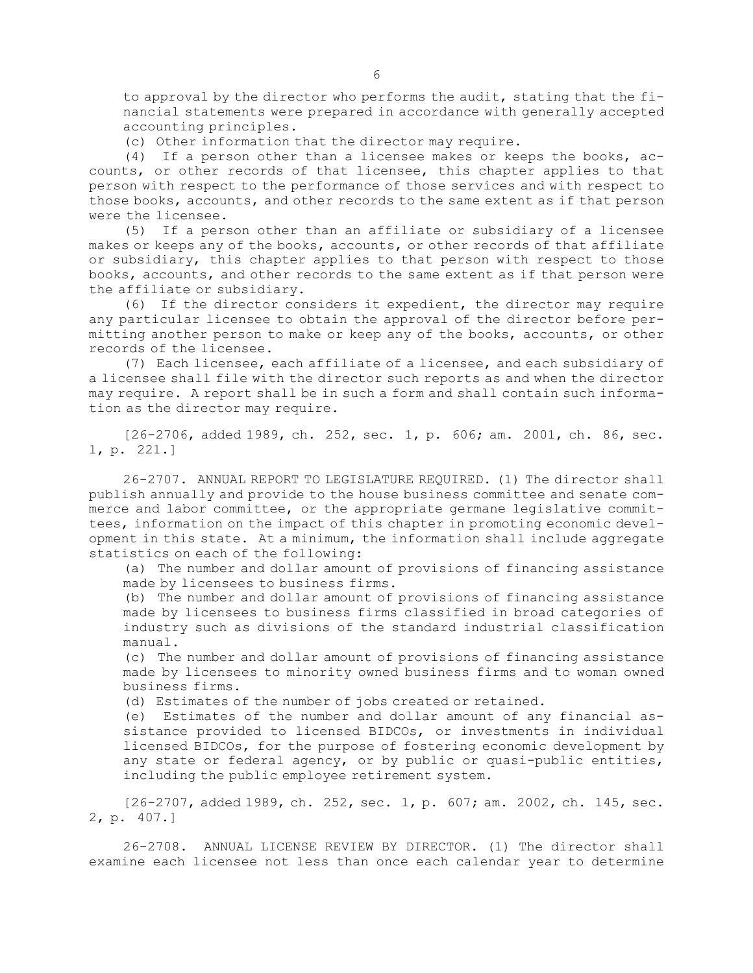to approval by the director who performs the audit, stating that the financial statements were prepared in accordance with generally accepted accounting principles.

(c) Other information that the director may require.

(4) If <sup>a</sup> person other than <sup>a</sup> licensee makes or keeps the books, accounts, or other records of that licensee, this chapter applies to that person with respect to the performance of those services and with respect to those books, accounts, and other records to the same extent as if that person were the licensee.

(5) If <sup>a</sup> person other than an affiliate or subsidiary of <sup>a</sup> licensee makes or keeps any of the books, accounts, or other records of that affiliate or subsidiary, this chapter applies to that person with respect to those books, accounts, and other records to the same extent as if that person were the affiliate or subsidiary.

(6) If the director considers it expedient, the director may require any particular licensee to obtain the approval of the director before permitting another person to make or keep any of the books, accounts, or other records of the licensee.

(7) Each licensee, each affiliate of <sup>a</sup> licensee, and each subsidiary of <sup>a</sup> licensee shall file with the director such reports as and when the director may require. <sup>A</sup> report shall be in such <sup>a</sup> form and shall contain such information as the director may require.

[26-2706, added 1989, ch. 252, sec. 1, p. 606; am. 2001, ch. 86, sec. 1, p. 221.]

26-2707. ANNUAL REPORT TO LEGISLATURE REQUIRED. (1) The director shall publish annually and provide to the house business committee and senate commerce and labor committee, or the appropriate germane legislative committees, information on the impact of this chapter in promoting economic development in this state. At <sup>a</sup> minimum, the information shall include aggregate statistics on each of the following:

(a) The number and dollar amount of provisions of financing assistance made by licensees to business firms.

(b) The number and dollar amount of provisions of financing assistance made by licensees to business firms classified in broad categories of industry such as divisions of the standard industrial classification manual.

(c) The number and dollar amount of provisions of financing assistance made by licensees to minority owned business firms and to woman owned business firms.

(d) Estimates of the number of jobs created or retained.

(e) Estimates of the number and dollar amount of any financial assistance provided to licensed BIDCOs, or investments in individual licensed BIDCOs, for the purpose of fostering economic development by any state or federal agency, or by public or quasi-public entities, including the public employee retirement system.

[26-2707, added 1989, ch. 252, sec. 1, p. 607; am. 2002, ch. 145, sec. 2, p. 407.]

26-2708. ANNUAL LICENSE REVIEW BY DIRECTOR. (1) The director shall examine each licensee not less than once each calendar year to determine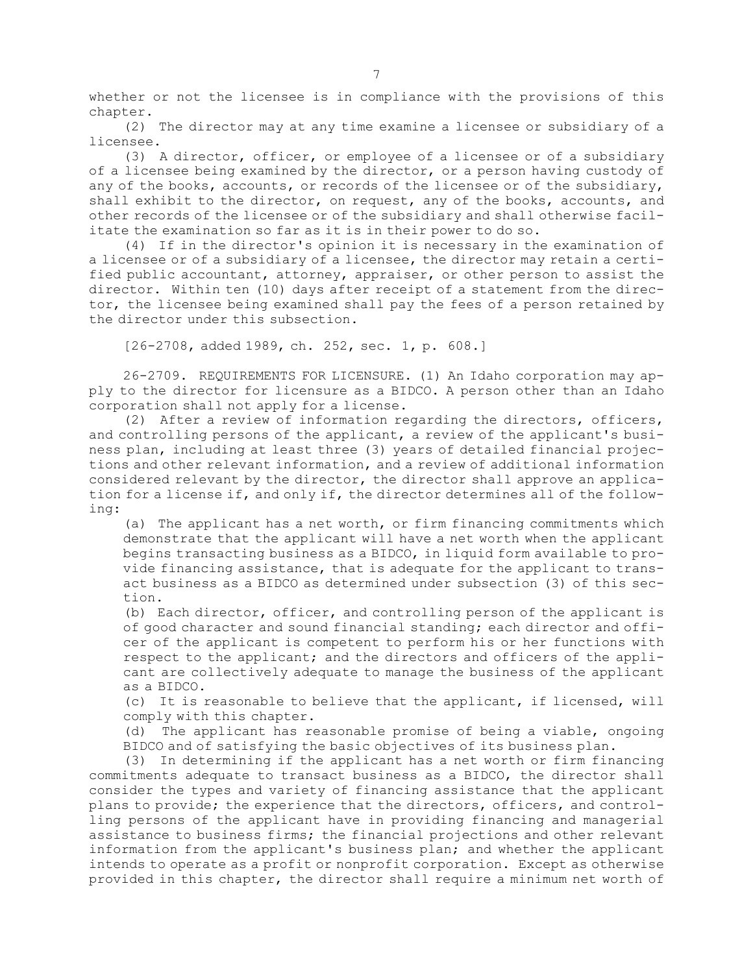whether or not the licensee is in compliance with the provisions of this chapter.

(2) The director may at any time examine <sup>a</sup> licensee or subsidiary of <sup>a</sup> licensee.

(3) <sup>A</sup> director, officer, or employee of <sup>a</sup> licensee or of <sup>a</sup> subsidiary of <sup>a</sup> licensee being examined by the director, or <sup>a</sup> person having custody of any of the books, accounts, or records of the licensee or of the subsidiary, shall exhibit to the director, on request, any of the books, accounts, and other records of the licensee or of the subsidiary and shall otherwise facilitate the examination so far as it is in their power to do so.

(4) If in the director's opinion it is necessary in the examination of <sup>a</sup> licensee or of <sup>a</sup> subsidiary of <sup>a</sup> licensee, the director may retain <sup>a</sup> certified public accountant, attorney, appraiser, or other person to assist the director. Within ten (10) days after receipt of <sup>a</sup> statement from the director, the licensee being examined shall pay the fees of <sup>a</sup> person retained by the director under this subsection.

[26-2708, added 1989, ch. 252, sec. 1, p. 608.]

26-2709. REQUIREMENTS FOR LICENSURE. (1) An Idaho corporation may apply to the director for licensure as <sup>a</sup> BIDCO. <sup>A</sup> person other than an Idaho corporation shall not apply for <sup>a</sup> license.

(2) After <sup>a</sup> review of information regarding the directors, officers, and controlling persons of the applicant, <sup>a</sup> review of the applicant's business plan, including at least three (3) years of detailed financial projections and other relevant information, and <sup>a</sup> review of additional information considered relevant by the director, the director shall approve an application for <sup>a</sup> license if, and only if, the director determines all of the following:

(a) The applicant has <sup>a</sup> net worth, or firm financing commitments which demonstrate that the applicant will have <sup>a</sup> net worth when the applicant begins transacting business as <sup>a</sup> BIDCO, in liquid form available to provide financing assistance, that is adequate for the applicant to transact business as <sup>a</sup> BIDCO as determined under subsection (3) of this section.

(b) Each director, officer, and controlling person of the applicant is of good character and sound financial standing; each director and officer of the applicant is competent to perform his or her functions with respect to the applicant; and the directors and officers of the applicant are collectively adequate to manage the business of the applicant as a BIDCO.

(c) It is reasonable to believe that the applicant, if licensed, will comply with this chapter.

(d) The applicant has reasonable promise of being <sup>a</sup> viable, ongoing BIDCO and of satisfying the basic objectives of its business plan.

(3) In determining if the applicant has <sup>a</sup> net worth or firm financing commitments adequate to transact business as <sup>a</sup> BIDCO, the director shall consider the types and variety of financing assistance that the applicant plans to provide; the experience that the directors, officers, and controlling persons of the applicant have in providing financing and managerial assistance to business firms; the financial projections and other relevant information from the applicant's business plan; and whether the applicant intends to operate as <sup>a</sup> profit or nonprofit corporation. Except as otherwise provided in this chapter, the director shall require <sup>a</sup> minimum net worth of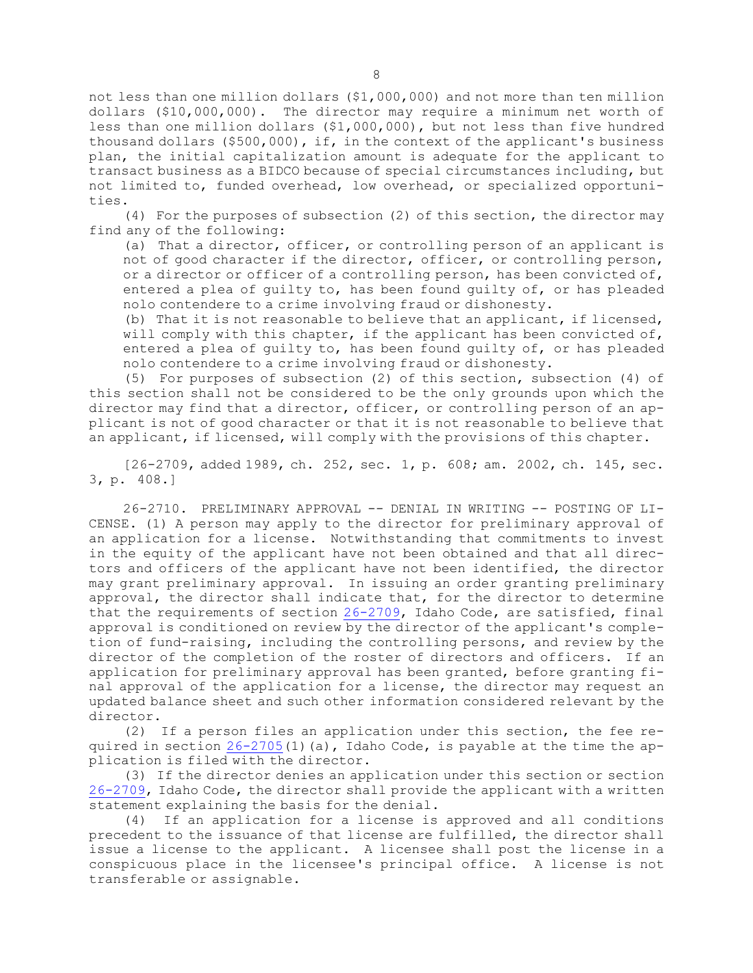not less than one million dollars (\$1,000,000) and not more than ten million dollars (\$10,000,000). The director may require <sup>a</sup> minimum net worth of less than one million dollars (\$1,000,000), but not less than five hundred thousand dollars (\$500,000), if, in the context of the applicant's business plan, the initial capitalization amount is adequate for the applicant to transact business as <sup>a</sup> BIDCO because of special circumstances including, but not limited to, funded overhead, low overhead, or specialized opportunities.

(4) For the purposes of subsection (2) of this section, the director may find any of the following:

(a) That <sup>a</sup> director, officer, or controlling person of an applicant is not of good character if the director, officer, or controlling person, or <sup>a</sup> director or officer of <sup>a</sup> controlling person, has been convicted of, entered <sup>a</sup> plea of guilty to, has been found guilty of, or has pleaded nolo contendere to <sup>a</sup> crime involving fraud or dishonesty.

(b) That it is not reasonable to believe that an applicant, if licensed, will comply with this chapter, if the applicant has been convicted of, entered <sup>a</sup> plea of guilty to, has been found guilty of, or has pleaded nolo contendere to <sup>a</sup> crime involving fraud or dishonesty.

(5) For purposes of subsection (2) of this section, subsection (4) of this section shall not be considered to be the only grounds upon which the director may find that <sup>a</sup> director, officer, or controlling person of an applicant is not of good character or that it is not reasonable to believe that an applicant, if licensed, will comply with the provisions of this chapter.

[26-2709, added 1989, ch. 252, sec. 1, p. 608; am. 2002, ch. 145, sec. 3, p. 408.]

26-2710. PRELIMINARY APPROVAL -- DENIAL IN WRITING -- POSTING OF LI-CENSE. (1) <sup>A</sup> person may apply to the director for preliminary approval of an application for <sup>a</sup> license. Notwithstanding that commitments to invest in the equity of the applicant have not been obtained and that all directors and officers of the applicant have not been identified, the director may grant preliminary approval. In issuing an order granting preliminary approval, the director shall indicate that, for the director to determine that the requirements of section [26-2709](https://legislature.idaho.gov/statutesrules/idstat/Title26/T26CH27/SECT26-2709), Idaho Code, are satisfied, final approval is conditioned on review by the director of the applicant's completion of fund-raising, including the controlling persons, and review by the director of the completion of the roster of directors and officers. If an application for preliminary approval has been granted, before granting final approval of the application for <sup>a</sup> license, the director may request an updated balance sheet and such other information considered relevant by the director.

(2) If <sup>a</sup> person files an application under this section, the fee required in section  $26-2705(1)(a)$  $26-2705(1)(a)$ , Idaho Code, is payable at the time the application is filed with the director.

(3) If the director denies an application under this section or section [26-2709](https://legislature.idaho.gov/statutesrules/idstat/Title26/T26CH27/SECT26-2709), Idaho Code, the director shall provide the applicant with <sup>a</sup> written statement explaining the basis for the denial.

(4) If an application for <sup>a</sup> license is approved and all conditions precedent to the issuance of that license are fulfilled, the director shall issue <sup>a</sup> license to the applicant. <sup>A</sup> licensee shall post the license in <sup>a</sup> conspicuous place in the licensee's principal office. <sup>A</sup> license is not transferable or assignable.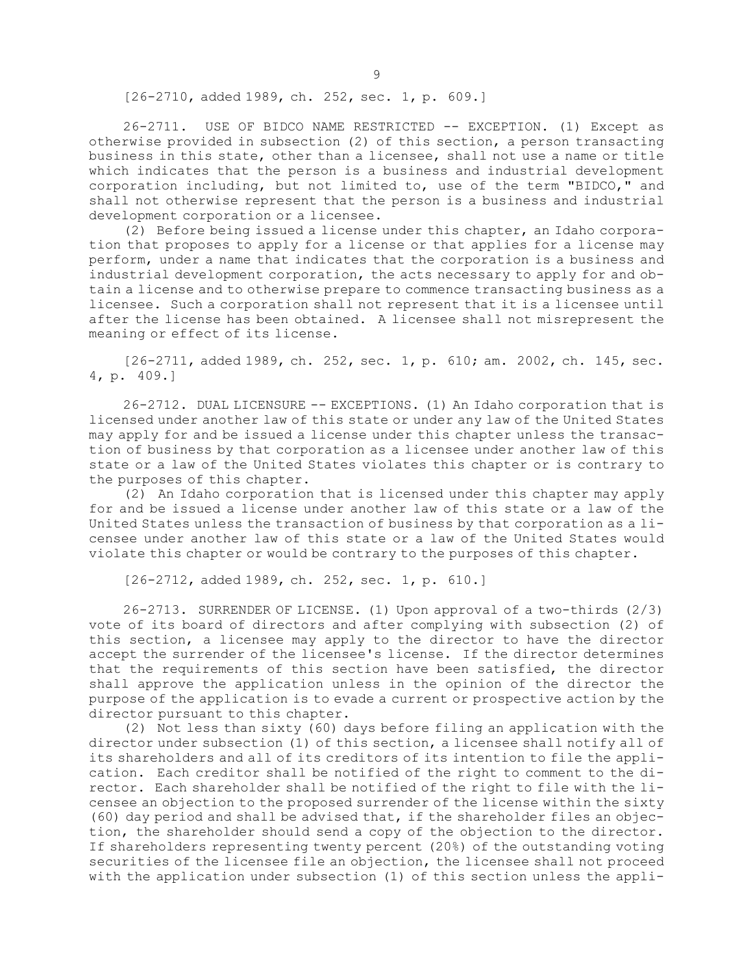[26-2710, added 1989, ch. 252, sec. 1, p. 609.]

26-2711. USE OF BIDCO NAME RESTRICTED -- EXCEPTION. (1) Except as otherwise provided in subsection (2) of this section, <sup>a</sup> person transacting business in this state, other than <sup>a</sup> licensee, shall not use <sup>a</sup> name or title which indicates that the person is <sup>a</sup> business and industrial development corporation including, but not limited to, use of the term "BIDCO," and shall not otherwise represent that the person is <sup>a</sup> business and industrial development corporation or <sup>a</sup> licensee.

(2) Before being issued <sup>a</sup> license under this chapter, an Idaho corporation that proposes to apply for <sup>a</sup> license or that applies for <sup>a</sup> license may perform, under <sup>a</sup> name that indicates that the corporation is <sup>a</sup> business and industrial development corporation, the acts necessary to apply for and obtain <sup>a</sup> license and to otherwise prepare to commence transacting business as <sup>a</sup> licensee. Such <sup>a</sup> corporation shall not represent that it is <sup>a</sup> licensee until after the license has been obtained. <sup>A</sup> licensee shall not misrepresent the meaning or effect of its license.

[26-2711, added 1989, ch. 252, sec. 1, p. 610; am. 2002, ch. 145, sec. 4, p. 409.]

26-2712. DUAL LICENSURE -- EXCEPTIONS. (1) An Idaho corporation that is licensed under another law of this state or under any law of the United States may apply for and be issued <sup>a</sup> license under this chapter unless the transaction of business by that corporation as <sup>a</sup> licensee under another law of this state or <sup>a</sup> law of the United States violates this chapter or is contrary to the purposes of this chapter.

(2) An Idaho corporation that is licensed under this chapter may apply for and be issued <sup>a</sup> license under another law of this state or <sup>a</sup> law of the United States unless the transaction of business by that corporation as <sup>a</sup> licensee under another law of this state or <sup>a</sup> law of the United States would violate this chapter or would be contrary to the purposes of this chapter.

[26-2712, added 1989, ch. 252, sec. 1, p. 610.]

26-2713. SURRENDER OF LICENSE. (1) Upon approval of <sup>a</sup> two-thirds (2/3) vote of its board of directors and after complying with subsection (2) of this section, <sup>a</sup> licensee may apply to the director to have the director accept the surrender of the licensee's license. If the director determines that the requirements of this section have been satisfied, the director shall approve the application unless in the opinion of the director the purpose of the application is to evade <sup>a</sup> current or prospective action by the director pursuant to this chapter.

(2) Not less than sixty (60) days before filing an application with the director under subsection (1) of this section, <sup>a</sup> licensee shall notify all of its shareholders and all of its creditors of its intention to file the application. Each creditor shall be notified of the right to comment to the director. Each shareholder shall be notified of the right to file with the licensee an objection to the proposed surrender of the license within the sixty (60) day period and shall be advised that, if the shareholder files an objection, the shareholder should send <sup>a</sup> copy of the objection to the director. If shareholders representing twenty percent (20%) of the outstanding voting securities of the licensee file an objection, the licensee shall not proceed with the application under subsection (1) of this section unless the appli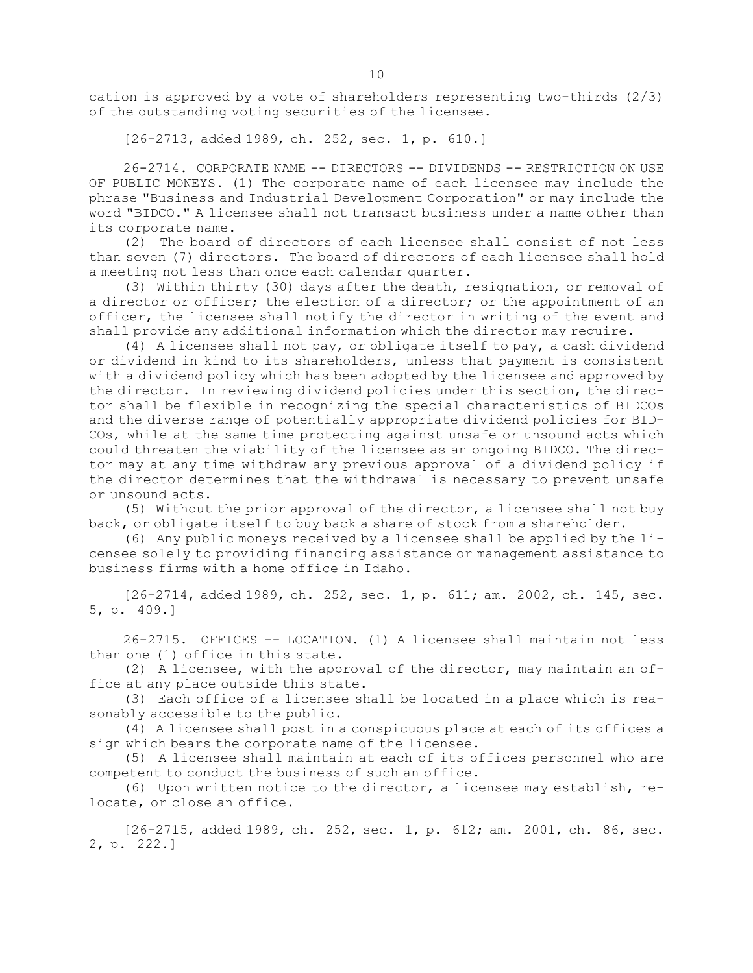cation is approved by <sup>a</sup> vote of shareholders representing two-thirds (2/3) of the outstanding voting securities of the licensee.

[26-2713, added 1989, ch. 252, sec. 1, p. 610.]

26-2714. CORPORATE NAME -- DIRECTORS -- DIVIDENDS -- RESTRICTION ON USE OF PUBLIC MONEYS. (1) The corporate name of each licensee may include the phrase "Business and Industrial Development Corporation" or may include the word "BIDCO." A licensee shall not transact business under <sup>a</sup> name other than its corporate name.

(2) The board of directors of each licensee shall consist of not less than seven (7) directors. The board of directors of each licensee shall hold <sup>a</sup> meeting not less than once each calendar quarter.

(3) Within thirty (30) days after the death, resignation, or removal of <sup>a</sup> director or officer; the election of <sup>a</sup> director; or the appointment of an officer, the licensee shall notify the director in writing of the event and shall provide any additional information which the director may require.

(4) <sup>A</sup> licensee shall not pay, or obligate itself to pay, <sup>a</sup> cash dividend or dividend in kind to its shareholders, unless that payment is consistent with <sup>a</sup> dividend policy which has been adopted by the licensee and approved by the director. In reviewing dividend policies under this section, the director shall be flexible in recognizing the special characteristics of BIDCOs and the diverse range of potentially appropriate dividend policies for BID-COs, while at the same time protecting against unsafe or unsound acts which could threaten the viability of the licensee as an ongoing BIDCO. The director may at any time withdraw any previous approval of <sup>a</sup> dividend policy if the director determines that the withdrawal is necessary to prevent unsafe or unsound acts.

(5) Without the prior approval of the director, <sup>a</sup> licensee shall not buy back, or obligate itself to buy back <sup>a</sup> share of stock from <sup>a</sup> shareholder.

(6) Any public moneys received by <sup>a</sup> licensee shall be applied by the licensee solely to providing financing assistance or management assistance to business firms with <sup>a</sup> home office in Idaho.

[26-2714, added 1989, ch. 252, sec. 1, p. 611; am. 2002, ch. 145, sec. 5, p. 409.]

26-2715. OFFICES -- LOCATION. (1) A licensee shall maintain not less than one (1) office in this state.

(2) <sup>A</sup> licensee, with the approval of the director, may maintain an office at any place outside this state.

(3) Each office of <sup>a</sup> licensee shall be located in <sup>a</sup> place which is reasonably accessible to the public.

(4) <sup>A</sup> licensee shall post in <sup>a</sup> conspicuous place at each of its offices <sup>a</sup> sign which bears the corporate name of the licensee.

(5) <sup>A</sup> licensee shall maintain at each of its offices personnel who are competent to conduct the business of such an office.

(6) Upon written notice to the director, <sup>a</sup> licensee may establish, relocate, or close an office.

[26-2715, added 1989, ch. 252, sec. 1, p. 612; am. 2001, ch. 86, sec. 2, p. 222.]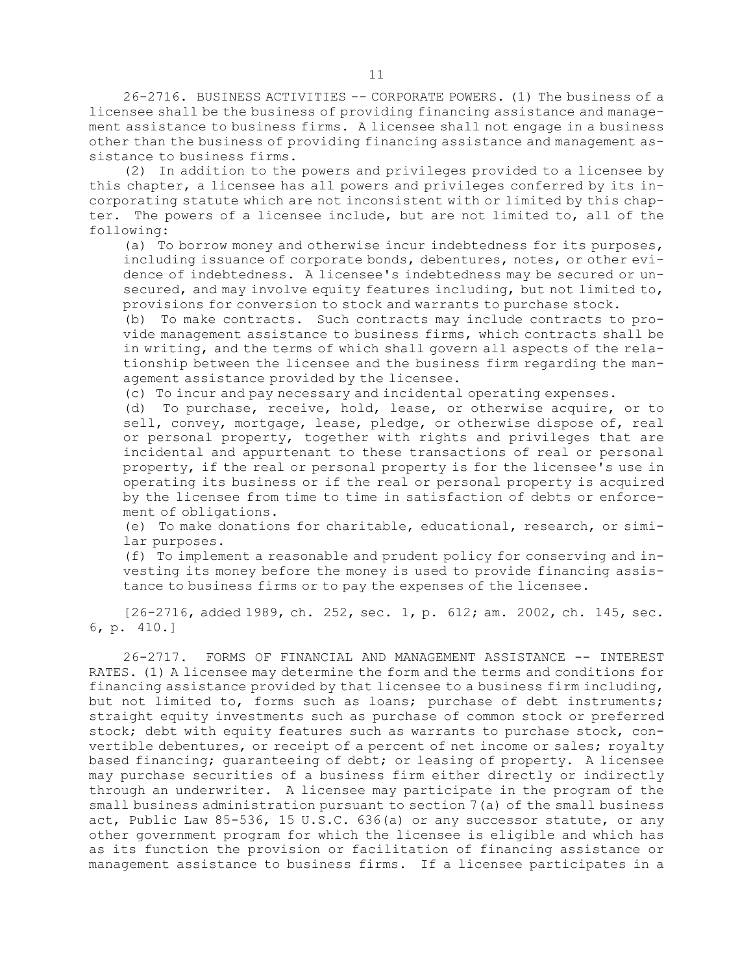26-2716. BUSINESS ACTIVITIES -- CORPORATE POWERS. (1) The business of <sup>a</sup> licensee shall be the business of providing financing assistance and management assistance to business firms. <sup>A</sup> licensee shall not engage in <sup>a</sup> business other than the business of providing financing assistance and management assistance to business firms.

(2) In addition to the powers and privileges provided to <sup>a</sup> licensee by this chapter, <sup>a</sup> licensee has all powers and privileges conferred by its incorporating statute which are not inconsistent with or limited by this chapter. The powers of <sup>a</sup> licensee include, but are not limited to, all of the following:

(a) To borrow money and otherwise incur indebtedness for its purposes, including issuance of corporate bonds, debentures, notes, or other evidence of indebtedness. <sup>A</sup> licensee's indebtedness may be secured or unsecured, and may involve equity features including, but not limited to, provisions for conversion to stock and warrants to purchase stock.

(b) To make contracts. Such contracts may include contracts to provide management assistance to business firms, which contracts shall be in writing, and the terms of which shall govern all aspects of the relationship between the licensee and the business firm regarding the management assistance provided by the licensee.

(c) To incur and pay necessary and incidental operating expenses.

(d) To purchase, receive, hold, lease, or otherwise acquire, or to sell, convey, mortgage, lease, pledge, or otherwise dispose of, real or personal property, together with rights and privileges that are incidental and appurtenant to these transactions of real or personal property, if the real or personal property is for the licensee's use in operating its business or if the real or personal property is acquired by the licensee from time to time in satisfaction of debts or enforcement of obligations.

(e) To make donations for charitable, educational, research, or similar purposes.

(f) To implement <sup>a</sup> reasonable and prudent policy for conserving and investing its money before the money is used to provide financing assistance to business firms or to pay the expenses of the licensee.

[26-2716, added 1989, ch. 252, sec. 1, p. 612; am. 2002, ch. 145, sec. 6, p. 410.]

26-2717. FORMS OF FINANCIAL AND MANAGEMENT ASSISTANCE -- INTEREST RATES. (1) <sup>A</sup> licensee may determine the form and the terms and conditions for financing assistance provided by that licensee to <sup>a</sup> business firm including, but not limited to, forms such as loans; purchase of debt instruments; straight equity investments such as purchase of common stock or preferred stock; debt with equity features such as warrants to purchase stock, convertible debentures, or receipt of <sup>a</sup> percent of net income or sales; royalty based financing; guaranteeing of debt; or leasing of property. <sup>A</sup> licensee may purchase securities of <sup>a</sup> business firm either directly or indirectly through an underwriter. <sup>A</sup> licensee may participate in the program of the small business administration pursuant to section 7(a) of the small business act, Public Law 85-536, 15 U.S.C. 636(a) or any successor statute, or any other government program for which the licensee is eligible and which has as its function the provision or facilitation of financing assistance or management assistance to business firms. If <sup>a</sup> licensee participates in <sup>a</sup>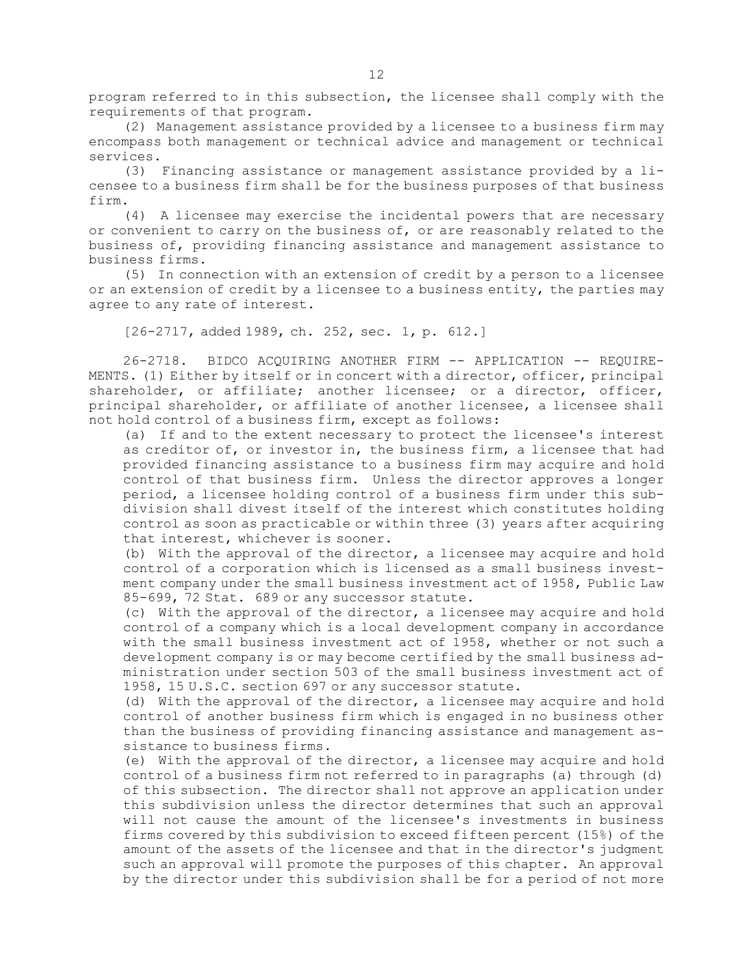program referred to in this subsection, the licensee shall comply with the requirements of that program.

(2) Management assistance provided by <sup>a</sup> licensee to <sup>a</sup> business firm may encompass both management or technical advice and management or technical services.

(3) Financing assistance or management assistance provided by <sup>a</sup> licensee to <sup>a</sup> business firm shall be for the business purposes of that business firm.

(4) <sup>A</sup> licensee may exercise the incidental powers that are necessary or convenient to carry on the business of, or are reasonably related to the business of, providing financing assistance and management assistance to business firms.

(5) In connection with an extension of credit by <sup>a</sup> person to <sup>a</sup> licensee or an extension of credit by <sup>a</sup> licensee to <sup>a</sup> business entity, the parties may agree to any rate of interest.

[26-2717, added 1989, ch. 252, sec. 1, p. 612.]

26-2718. BIDCO ACQUIRING ANOTHER FIRM -- APPLICATION -- REQUIRE-MENTS. (1) Either by itself or in concert with <sup>a</sup> director, officer, principal shareholder, or affiliate; another licensee; or a director, officer, principal shareholder, or affiliate of another licensee, <sup>a</sup> licensee shall not hold control of <sup>a</sup> business firm, except as follows:

(a) If and to the extent necessary to protect the licensee's interest as creditor of, or investor in, the business firm, <sup>a</sup> licensee that had provided financing assistance to <sup>a</sup> business firm may acquire and hold control of that business firm. Unless the director approves <sup>a</sup> longer period, <sup>a</sup> licensee holding control of <sup>a</sup> business firm under this subdivision shall divest itself of the interest which constitutes holding control as soon as practicable or within three (3) years after acquiring that interest, whichever is sooner.

(b) With the approval of the director, <sup>a</sup> licensee may acquire and hold control of <sup>a</sup> corporation which is licensed as <sup>a</sup> small business investment company under the small business investment act of 1958, Public Law 85-699, 72 Stat. 689 or any successor statute.

(c) With the approval of the director, <sup>a</sup> licensee may acquire and hold control of <sup>a</sup> company which is <sup>a</sup> local development company in accordance with the small business investment act of 1958, whether or not such <sup>a</sup> development company is or may become certified by the small business administration under section 503 of the small business investment act of 1958, 15 U.S.C. section 697 or any successor statute.

(d) With the approval of the director, <sup>a</sup> licensee may acquire and hold control of another business firm which is engaged in no business other than the business of providing financing assistance and management assistance to business firms.

(e) With the approval of the director, <sup>a</sup> licensee may acquire and hold control of <sup>a</sup> business firm not referred to in paragraphs (a) through (d) of this subsection. The director shall not approve an application under this subdivision unless the director determines that such an approval will not cause the amount of the licensee's investments in business firms covered by this subdivision to exceed fifteen percent (15%) of the amount of the assets of the licensee and that in the director's judgment such an approval will promote the purposes of this chapter. An approval by the director under this subdivision shall be for <sup>a</sup> period of not more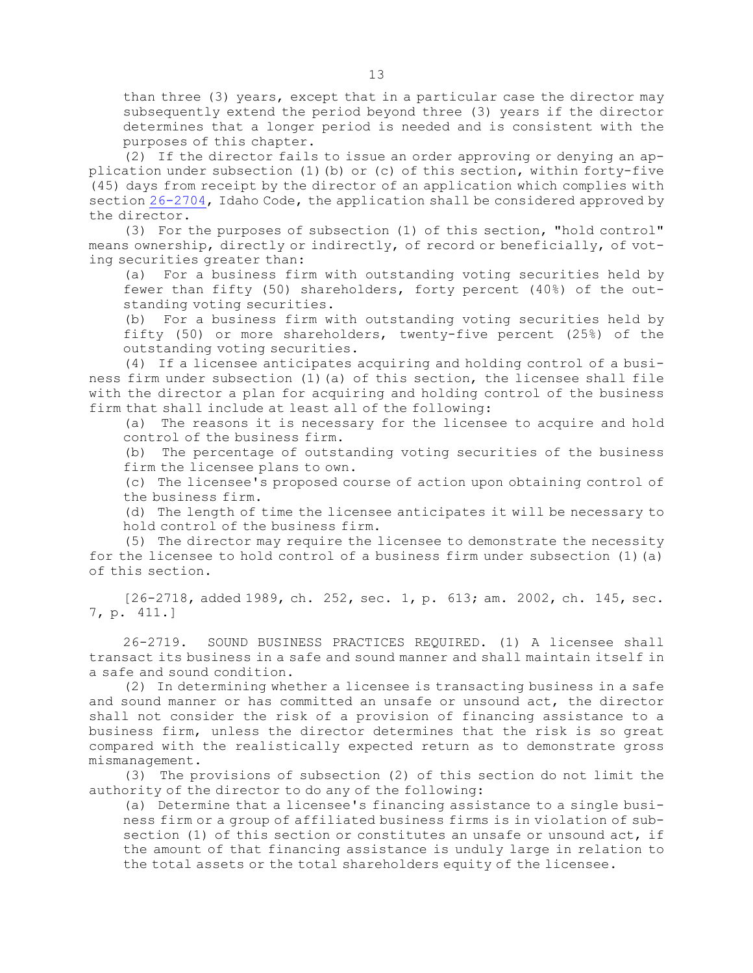than three (3) years, except that in <sup>a</sup> particular case the director may subsequently extend the period beyond three (3) years if the director determines that <sup>a</sup> longer period is needed and is consistent with the purposes of this chapter.

(2) If the director fails to issue an order approving or denying an application under subsection (1)(b) or (c) of this section, within forty-five (45) days from receipt by the director of an application which complies with section [26-2704](https://legislature.idaho.gov/statutesrules/idstat/Title26/T26CH27/SECT26-2704), Idaho Code, the application shall be considered approved by the director.

(3) For the purposes of subsection (1) of this section, "hold control" means ownership, directly or indirectly, of record or beneficially, of voting securities greater than:

(a) For <sup>a</sup> business firm with outstanding voting securities held by fewer than fifty (50) shareholders, forty percent (40%) of the outstanding voting securities.

(b) For <sup>a</sup> business firm with outstanding voting securities held by fifty (50) or more shareholders, twenty-five percent (25%) of the outstanding voting securities.

(4) If <sup>a</sup> licensee anticipates acquiring and holding control of <sup>a</sup> business firm under subsection (1)(a) of this section, the licensee shall file with the director <sup>a</sup> plan for acquiring and holding control of the business firm that shall include at least all of the following:

(a) The reasons it is necessary for the licensee to acquire and hold control of the business firm.

(b) The percentage of outstanding voting securities of the business firm the licensee plans to own.

(c) The licensee's proposed course of action upon obtaining control of the business firm.

(d) The length of time the licensee anticipates it will be necessary to hold control of the business firm.

(5) The director may require the licensee to demonstrate the necessity for the licensee to hold control of a business firm under subsection  $(1)(a)$ of this section.

[26-2718, added 1989, ch. 252, sec. 1, p. 613; am. 2002, ch. 145, sec. 7, p. 411.]

26-2719. SOUND BUSINESS PRACTICES REQUIRED. (1) A licensee shall transact its business in <sup>a</sup> safe and sound manner and shall maintain itself in <sup>a</sup> safe and sound condition.

(2) In determining whether <sup>a</sup> licensee is transacting business in <sup>a</sup> safe and sound manner or has committed an unsafe or unsound act, the director shall not consider the risk of <sup>a</sup> provision of financing assistance to <sup>a</sup> business firm, unless the director determines that the risk is so great compared with the realistically expected return as to demonstrate gross mismanagement.

(3) The provisions of subsection (2) of this section do not limit the authority of the director to do any of the following:

(a) Determine that <sup>a</sup> licensee's financing assistance to <sup>a</sup> single business firm or <sup>a</sup> group of affiliated business firms is in violation of subsection (1) of this section or constitutes an unsafe or unsound act, if the amount of that financing assistance is unduly large in relation to the total assets or the total shareholders equity of the licensee.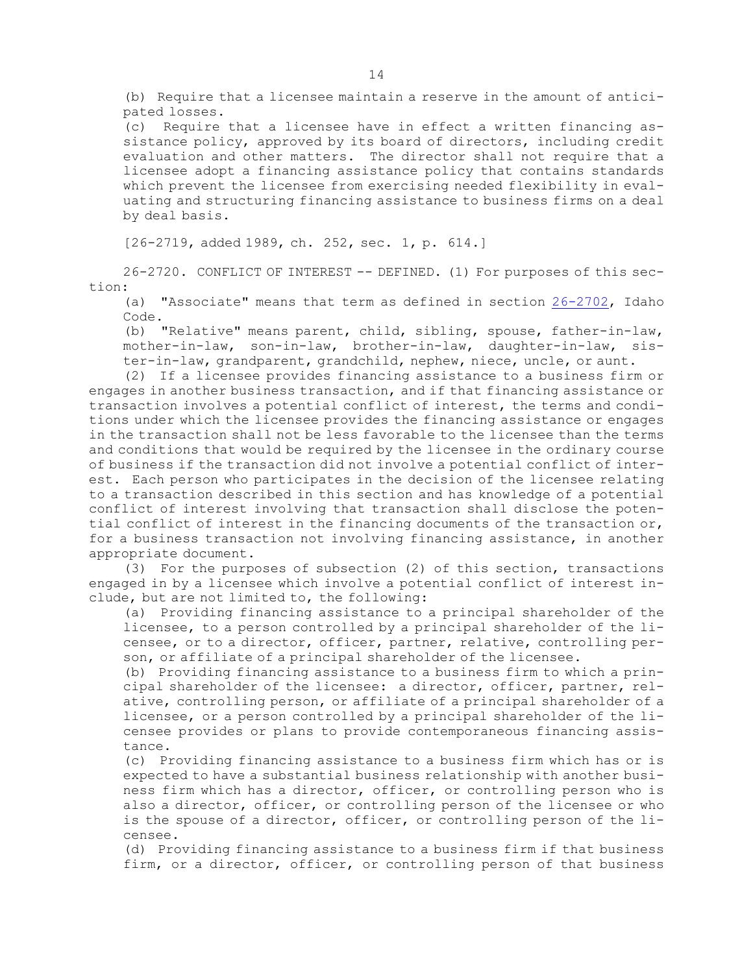(b) Require that <sup>a</sup> licensee maintain <sup>a</sup> reserve in the amount of anticipated losses.

(c) Require that <sup>a</sup> licensee have in effect <sup>a</sup> written financing assistance policy, approved by its board of directors, including credit evaluation and other matters. The director shall not require that <sup>a</sup> licensee adopt <sup>a</sup> financing assistance policy that contains standards which prevent the licensee from exercising needed flexibility in evaluating and structuring financing assistance to business firms on <sup>a</sup> deal by deal basis.

[26-2719, added 1989, ch. 252, sec. 1, p. 614.]

26-2720. CONFLICT OF INTEREST -- DEFINED. (1) For purposes of this section:

(a) "Associate" means that term as defined in section [26-2702](https://legislature.idaho.gov/statutesrules/idstat/Title26/T26CH27/SECT26-2702), Idaho Code.

(b) "Relative" means parent, child, sibling, spouse, father-in-law, mother-in-law, son-in-law, brother-in-law, daughter-in-law, sister-in-law, grandparent, grandchild, nephew, niece, uncle, or aunt.

(2) If <sup>a</sup> licensee provides financing assistance to <sup>a</sup> business firm or engages in another business transaction, and if that financing assistance or transaction involves <sup>a</sup> potential conflict of interest, the terms and conditions under which the licensee provides the financing assistance or engages in the transaction shall not be less favorable to the licensee than the terms and conditions that would be required by the licensee in the ordinary course of business if the transaction did not involve <sup>a</sup> potential conflict of interest. Each person who participates in the decision of the licensee relating to <sup>a</sup> transaction described in this section and has knowledge of <sup>a</sup> potential conflict of interest involving that transaction shall disclose the potential conflict of interest in the financing documents of the transaction or, for <sup>a</sup> business transaction not involving financing assistance, in another appropriate document.

(3) For the purposes of subsection (2) of this section, transactions engaged in by <sup>a</sup> licensee which involve <sup>a</sup> potential conflict of interest include, but are not limited to, the following:

(a) Providing financing assistance to <sup>a</sup> principal shareholder of the licensee, to <sup>a</sup> person controlled by <sup>a</sup> principal shareholder of the licensee, or to <sup>a</sup> director, officer, partner, relative, controlling person, or affiliate of <sup>a</sup> principal shareholder of the licensee.

(b) Providing financing assistance to <sup>a</sup> business firm to which <sup>a</sup> principal shareholder of the licensee: <sup>a</sup> director, officer, partner, relative, controlling person, or affiliate of <sup>a</sup> principal shareholder of <sup>a</sup> licensee, or <sup>a</sup> person controlled by <sup>a</sup> principal shareholder of the licensee provides or plans to provide contemporaneous financing assistance.

(c) Providing financing assistance to <sup>a</sup> business firm which has or is expected to have <sup>a</sup> substantial business relationship with another business firm which has <sup>a</sup> director, officer, or controlling person who is also <sup>a</sup> director, officer, or controlling person of the licensee or who is the spouse of <sup>a</sup> director, officer, or controlling person of the licensee.

(d) Providing financing assistance to <sup>a</sup> business firm if that business firm, or <sup>a</sup> director, officer, or controlling person of that business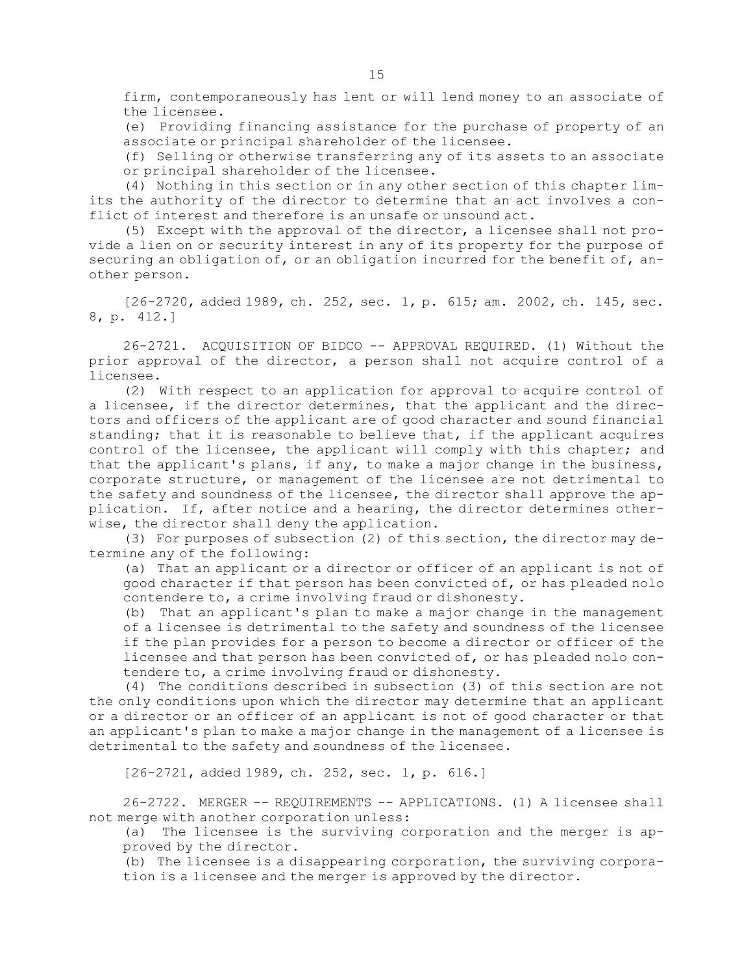firm, contemporaneously has lent or will lend money to an associate of the licensee.

(e) Providing financing assistance for the purchase of property of an associate or principal shareholder of the licensee.

(f) Selling or otherwise transferring any of its assets to an associate or principal shareholder of the licensee.

(4) Nothing in this section or in any other section of this chapter limits the authority of the director to determine that an act involves <sup>a</sup> conflict of interest and therefore is an unsafe or unsound act.

(5) Except with the approval of the director, <sup>a</sup> licensee shall not provide <sup>a</sup> lien on or security interest in any of its property for the purpose of securing an obligation of, or an obligation incurred for the benefit of, another person.

[26-2720, added 1989, ch. 252, sec. 1, p. 615; am. 2002, ch. 145, sec. 8, p. 412.]

26-2721. ACQUISITION OF BIDCO -- APPROVAL REQUIRED. (1) Without the prior approval of the director, <sup>a</sup> person shall not acquire control of <sup>a</sup> licensee.

(2) With respect to an application for approval to acquire control of <sup>a</sup> licensee, if the director determines, that the applicant and the directors and officers of the applicant are of good character and sound financial standing; that it is reasonable to believe that, if the applicant acquires control of the licensee, the applicant will comply with this chapter; and that the applicant's plans, if any, to make <sup>a</sup> major change in the business, corporate structure, or management of the licensee are not detrimental to the safety and soundness of the licensee, the director shall approve the application. If, after notice and <sup>a</sup> hearing, the director determines otherwise, the director shall deny the application.

(3) For purposes of subsection (2) of this section, the director may determine any of the following:

(a) That an applicant or <sup>a</sup> director or officer of an applicant is not of good character if that person has been convicted of, or has pleaded nolo contendere to, <sup>a</sup> crime involving fraud or dishonesty.

(b) That an applicant's plan to make <sup>a</sup> major change in the management of <sup>a</sup> licensee is detrimental to the safety and soundness of the licensee if the plan provides for <sup>a</sup> person to become <sup>a</sup> director or officer of the licensee and that person has been convicted of, or has pleaded nolo contendere to, <sup>a</sup> crime involving fraud or dishonesty.

(4) The conditions described in subsection (3) of this section are not the only conditions upon which the director may determine that an applicant or <sup>a</sup> director or an officer of an applicant is not of good character or that an applicant's plan to make <sup>a</sup> major change in the management of <sup>a</sup> licensee is detrimental to the safety and soundness of the licensee.

[26-2721, added 1989, ch. 252, sec. 1, p. 616.]

26-2722. MERGER -- REQUIREMENTS -- APPLICATIONS. (1) A licensee shall not merge with another corporation unless:

(a) The licensee is the surviving corporation and the merger is approved by the director.

(b) The licensee is <sup>a</sup> disappearing corporation, the surviving corporation is <sup>a</sup> licensee and the merger is approved by the director.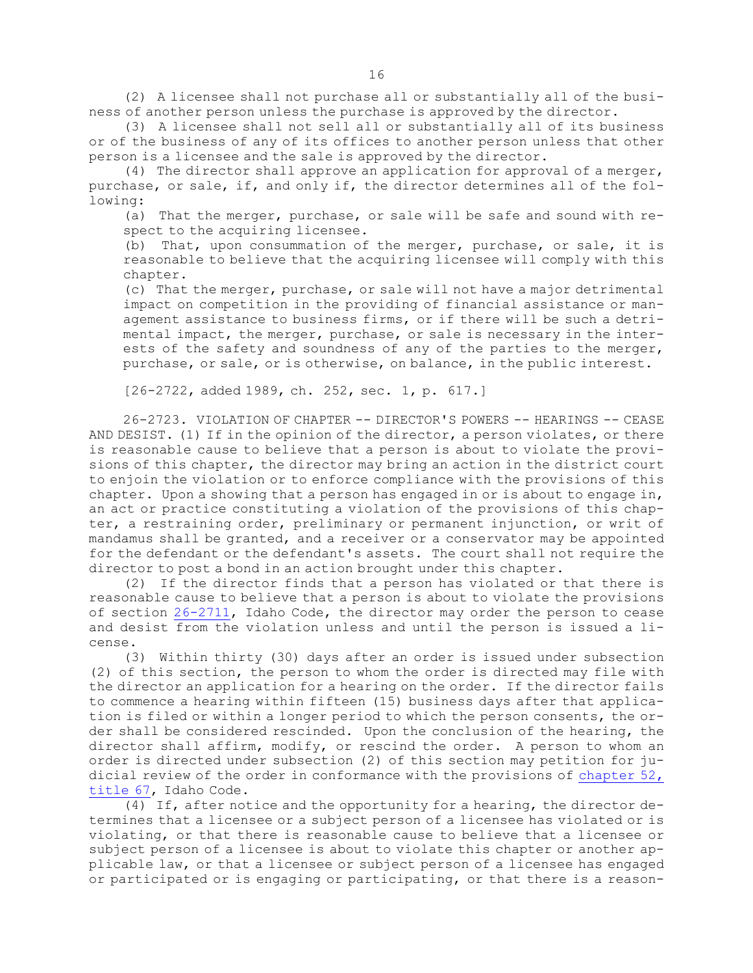(2) <sup>A</sup> licensee shall not purchase all or substantially all of the business of another person unless the purchase is approved by the director.

(3) <sup>A</sup> licensee shall not sell all or substantially all of its business or of the business of any of its offices to another person unless that other person is <sup>a</sup> licensee and the sale is approved by the director.

(4) The director shall approve an application for approval of <sup>a</sup> merger, purchase, or sale, if, and only if, the director determines all of the following:

(a) That the merger, purchase, or sale will be safe and sound with respect to the acquiring licensee.

(b) That, upon consummation of the merger, purchase, or sale, it is reasonable to believe that the acquiring licensee will comply with this chapter.

(c) That the merger, purchase, or sale will not have <sup>a</sup> major detrimental impact on competition in the providing of financial assistance or management assistance to business firms, or if there will be such <sup>a</sup> detrimental impact, the merger, purchase, or sale is necessary in the interests of the safety and soundness of any of the parties to the merger, purchase, or sale, or is otherwise, on balance, in the public interest.

[26-2722, added 1989, ch. 252, sec. 1, p. 617.]

26-2723. VIOLATION OF CHAPTER -- DIRECTOR'S POWERS -- HEARINGS -- CEASE AND DESIST. (1) If in the opinion of the director, <sup>a</sup> person violates, or there is reasonable cause to believe that <sup>a</sup> person is about to violate the provisions of this chapter, the director may bring an action in the district court to enjoin the violation or to enforce compliance with the provisions of this chapter. Upon <sup>a</sup> showing that <sup>a</sup> person has engaged in or is about to engage in, an act or practice constituting <sup>a</sup> violation of the provisions of this chapter, <sup>a</sup> restraining order, preliminary or permanent injunction, or writ of mandamus shall be granted, and <sup>a</sup> receiver or <sup>a</sup> conservator may be appointed for the defendant or the defendant's assets. The court shall not require the director to post <sup>a</sup> bond in an action brought under this chapter.

(2) If the director finds that <sup>a</sup> person has violated or that there is reasonable cause to believe that <sup>a</sup> person is about to violate the provisions of section [26-2711](https://legislature.idaho.gov/statutesrules/idstat/Title26/T26CH27/SECT26-2711), Idaho Code, the director may order the person to cease and desist from the violation unless and until the person is issued <sup>a</sup> license.

(3) Within thirty (30) days after an order is issued under subsection (2) of this section, the person to whom the order is directed may file with the director an application for <sup>a</sup> hearing on the order. If the director fails to commence <sup>a</sup> hearing within fifteen (15) business days after that application is filed or within <sup>a</sup> longer period to which the person consents, the order shall be considered rescinded. Upon the conclusion of the hearing, the director shall affirm, modify, or rescind the order. <sup>A</sup> person to whom an order is directed under subsection (2) of this section may petition for judicial review of the order in conformance with the provisions of [chapter](https://legislature.idaho.gov/statutesrules/idstat/Title67/T67CH52) 52, [title](https://legislature.idaho.gov/statutesrules/idstat/Title67/T67CH52) 67, Idaho Code.

(4) If, after notice and the opportunity for <sup>a</sup> hearing, the director determines that <sup>a</sup> licensee or <sup>a</sup> subject person of <sup>a</sup> licensee has violated or is violating, or that there is reasonable cause to believe that <sup>a</sup> licensee or subject person of <sup>a</sup> licensee is about to violate this chapter or another applicable law, or that <sup>a</sup> licensee or subject person of <sup>a</sup> licensee has engaged or participated or is engaging or participating, or that there is <sup>a</sup> reason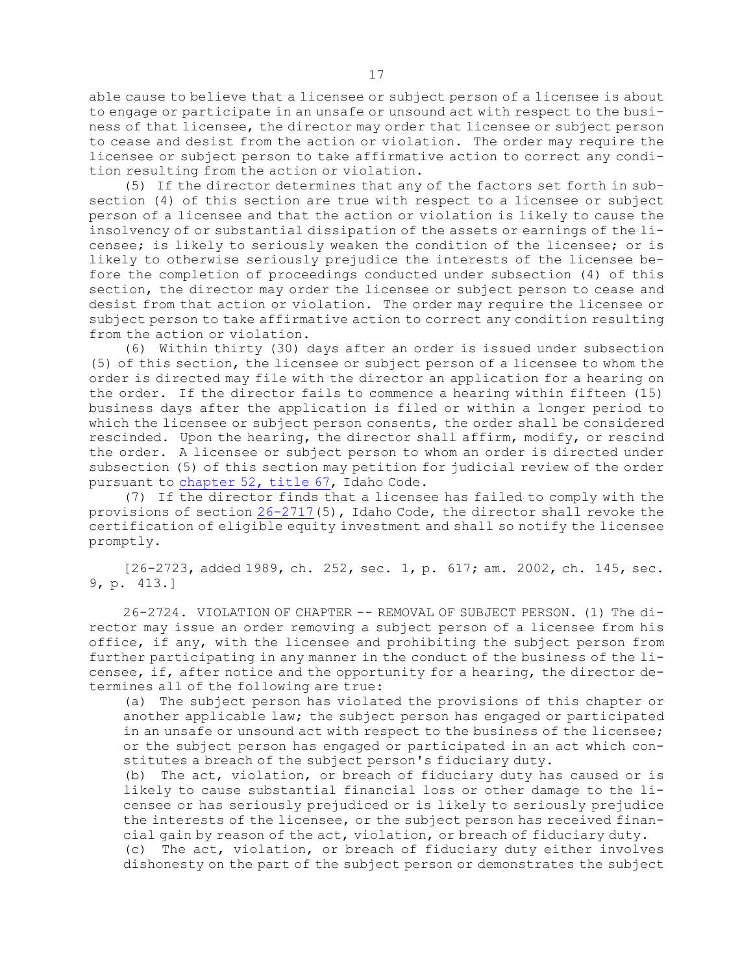able cause to believe that <sup>a</sup> licensee or subject person of <sup>a</sup> licensee is about to engage or participate in an unsafe or unsound act with respect to the business of that licensee, the director may order that licensee or subject person to cease and desist from the action or violation. The order may require the licensee or subject person to take affirmative action to correct any condition resulting from the action or violation.

(5) If the director determines that any of the factors set forth in subsection (4) of this section are true with respect to <sup>a</sup> licensee or subject person of <sup>a</sup> licensee and that the action or violation is likely to cause the insolvency of or substantial dissipation of the assets or earnings of the licensee; is likely to seriously weaken the condition of the licensee; or is likely to otherwise seriously prejudice the interests of the licensee before the completion of proceedings conducted under subsection (4) of this section, the director may order the licensee or subject person to cease and desist from that action or violation. The order may require the licensee or subject person to take affirmative action to correct any condition resulting from the action or violation.

(6) Within thirty (30) days after an order is issued under subsection (5) of this section, the licensee or subject person of <sup>a</sup> licensee to whom the order is directed may file with the director an application for <sup>a</sup> hearing on the order. If the director fails to commence <sup>a</sup> hearing within fifteen (15) business days after the application is filed or within <sup>a</sup> longer period to which the licensee or subject person consents, the order shall be considered rescinded. Upon the hearing, the director shall affirm, modify, or rescind the order. <sup>A</sup> licensee or subject person to whom an order is directed under subsection (5) of this section may petition for judicial review of the order pursuant to [chapter](https://legislature.idaho.gov/statutesrules/idstat/Title67/T67CH52) 52, title 67, Idaho Code.

(7) If the director finds that <sup>a</sup> licensee has failed to comply with the provisions of section [26-2717](https://legislature.idaho.gov/statutesrules/idstat/Title26/T26CH27/SECT26-2717)(5), Idaho Code, the director shall revoke the certification of eligible equity investment and shall so notify the licensee promptly.

[26-2723, added 1989, ch. 252, sec. 1, p. 617; am. 2002, ch. 145, sec. 9, p. 413.]

26-2724. VIOLATION OF CHAPTER -- REMOVAL OF SUBJECT PERSON. (1) The director may issue an order removing <sup>a</sup> subject person of <sup>a</sup> licensee from his office, if any, with the licensee and prohibiting the subject person from further participating in any manner in the conduct of the business of the licensee, if, after notice and the opportunity for <sup>a</sup> hearing, the director determines all of the following are true:

(a) The subject person has violated the provisions of this chapter or another applicable law; the subject person has engaged or participated in an unsafe or unsound act with respect to the business of the licensee; or the subject person has engaged or participated in an act which constitutes <sup>a</sup> breach of the subject person's fiduciary duty.

(b) The act, violation, or breach of fiduciary duty has caused or is likely to cause substantial financial loss or other damage to the licensee or has seriously prejudiced or is likely to seriously prejudice the interests of the licensee, or the subject person has received financial gain by reason of the act, violation, or breach of fiduciary duty.

(c) The act, violation, or breach of fiduciary duty either involves dishonesty on the part of the subject person or demonstrates the subject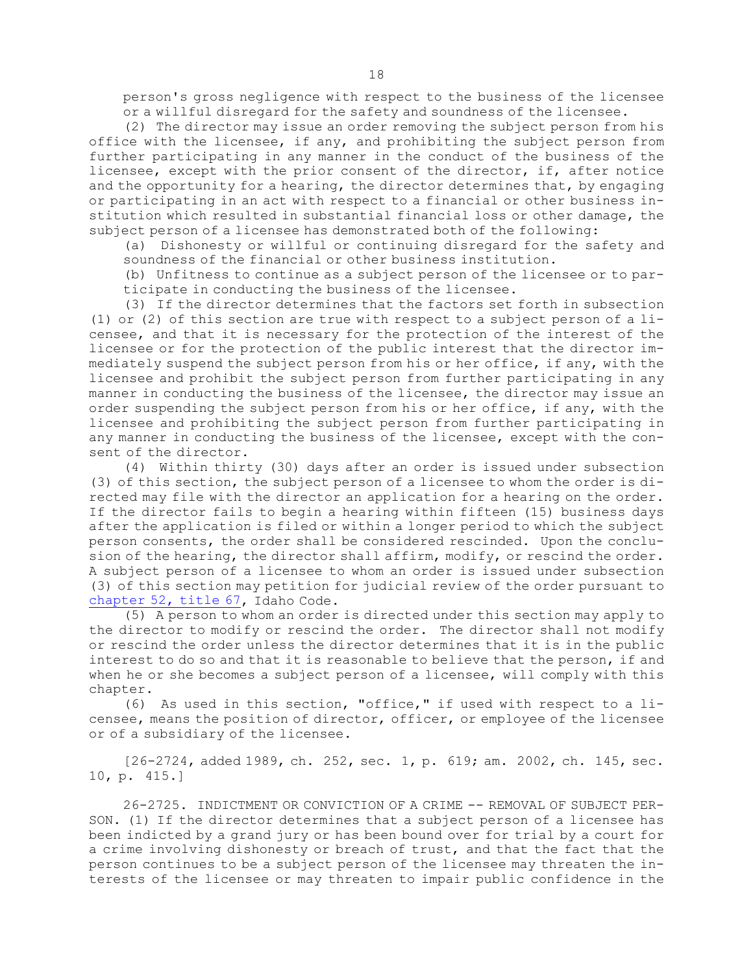person's gross negligence with respect to the business of the licensee or <sup>a</sup> willful disregard for the safety and soundness of the licensee.

(2) The director may issue an order removing the subject person from his office with the licensee, if any, and prohibiting the subject person from further participating in any manner in the conduct of the business of the licensee, except with the prior consent of the director, if, after notice and the opportunity for <sup>a</sup> hearing, the director determines that, by engaging or participating in an act with respect to <sup>a</sup> financial or other business institution which resulted in substantial financial loss or other damage, the subject person of <sup>a</sup> licensee has demonstrated both of the following:

(a) Dishonesty or willful or continuing disregard for the safety and soundness of the financial or other business institution.

(b) Unfitness to continue as <sup>a</sup> subject person of the licensee or to participate in conducting the business of the licensee.

(3) If the director determines that the factors set forth in subsection (1) or (2) of this section are true with respect to <sup>a</sup> subject person of <sup>a</sup> licensee, and that it is necessary for the protection of the interest of the licensee or for the protection of the public interest that the director immediately suspend the subject person from his or her office, if any, with the licensee and prohibit the subject person from further participating in any manner in conducting the business of the licensee, the director may issue an order suspending the subject person from his or her office, if any, with the licensee and prohibiting the subject person from further participating in any manner in conducting the business of the licensee, except with the consent of the director.

(4) Within thirty (30) days after an order is issued under subsection (3) of this section, the subject person of <sup>a</sup> licensee to whom the order is directed may file with the director an application for <sup>a</sup> hearing on the order. If the director fails to begin <sup>a</sup> hearing within fifteen (15) business days after the application is filed or within <sup>a</sup> longer period to which the subject person consents, the order shall be considered rescinded. Upon the conclusion of the hearing, the director shall affirm, modify, or rescind the order. <sup>A</sup> subject person of <sup>a</sup> licensee to whom an order is issued under subsection (3) of this section may petition for judicial review of the order pursuant to [chapter](https://legislature.idaho.gov/statutesrules/idstat/Title67/T67CH52) 52, title 67, Idaho Code.

(5) <sup>A</sup> person to whom an order is directed under this section may apply to the director to modify or rescind the order. The director shall not modify or rescind the order unless the director determines that it is in the public interest to do so and that it is reasonable to believe that the person, if and when he or she becomes a subject person of a licensee, will comply with this chapter.

(6) As used in this section, "office," if used with respect to <sup>a</sup> licensee, means the position of director, officer, or employee of the licensee or of <sup>a</sup> subsidiary of the licensee.

[26-2724, added 1989, ch. 252, sec. 1, p. 619; am. 2002, ch. 145, sec. 10, p. 415.]

26-2725. INDICTMENT OR CONVICTION OF A CRIME -- REMOVAL OF SUBJECT PER-SON. (1) If the director determines that <sup>a</sup> subject person of <sup>a</sup> licensee has been indicted by <sup>a</sup> grand jury or has been bound over for trial by <sup>a</sup> court for <sup>a</sup> crime involving dishonesty or breach of trust, and that the fact that the person continues to be <sup>a</sup> subject person of the licensee may threaten the interests of the licensee or may threaten to impair public confidence in the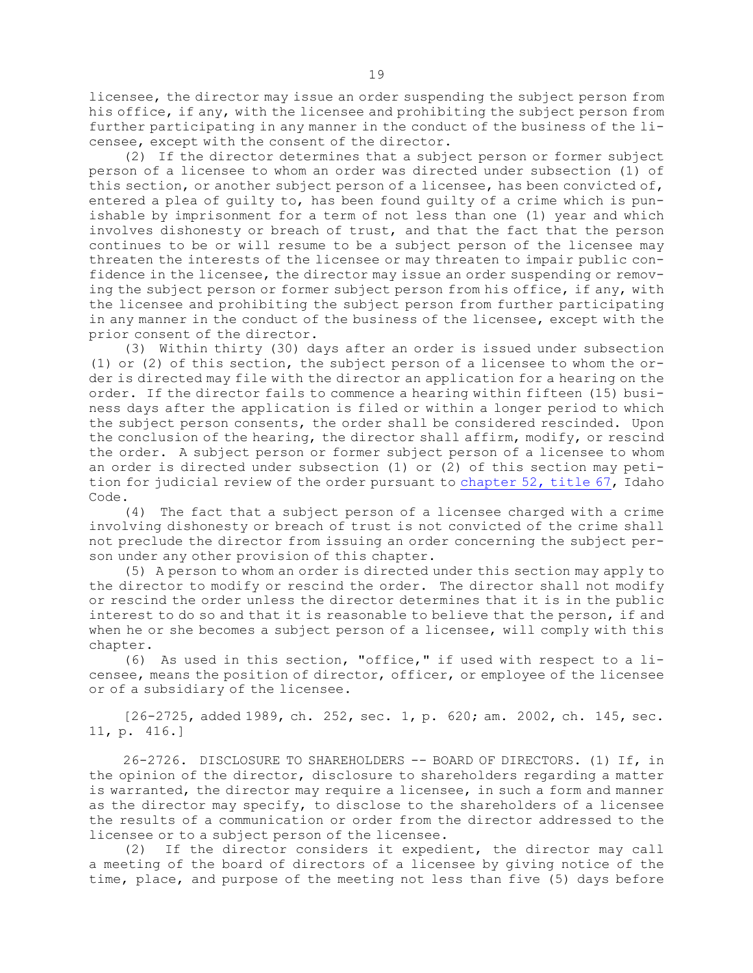licensee, the director may issue an order suspending the subject person from his office, if any, with the licensee and prohibiting the subject person from further participating in any manner in the conduct of the business of the licensee, except with the consent of the director.

(2) If the director determines that <sup>a</sup> subject person or former subject person of <sup>a</sup> licensee to whom an order was directed under subsection (1) of this section, or another subject person of <sup>a</sup> licensee, has been convicted of, entered <sup>a</sup> plea of guilty to, has been found guilty of <sup>a</sup> crime which is punishable by imprisonment for <sup>a</sup> term of not less than one (1) year and which involves dishonesty or breach of trust, and that the fact that the person continues to be or will resume to be <sup>a</sup> subject person of the licensee may threaten the interests of the licensee or may threaten to impair public confidence in the licensee, the director may issue an order suspending or removing the subject person or former subject person from his office, if any, with the licensee and prohibiting the subject person from further participating in any manner in the conduct of the business of the licensee, except with the prior consent of the director.

(3) Within thirty (30) days after an order is issued under subsection (1) or (2) of this section, the subject person of <sup>a</sup> licensee to whom the order is directed may file with the director an application for <sup>a</sup> hearing on the order. If the director fails to commence <sup>a</sup> hearing within fifteen (15) business days after the application is filed or within <sup>a</sup> longer period to which the subject person consents, the order shall be considered rescinded. Upon the conclusion of the hearing, the director shall affirm, modify, or rescind the order. <sup>A</sup> subject person or former subject person of <sup>a</sup> licensee to whom an order is directed under subsection (1) or (2) of this section may petition for judicial review of the order pursuant to [chapter](https://legislature.idaho.gov/statutesrules/idstat/Title67/T67CH52) 52, title 67, Idaho Code.

(4) The fact that <sup>a</sup> subject person of <sup>a</sup> licensee charged with <sup>a</sup> crime involving dishonesty or breach of trust is not convicted of the crime shall not preclude the director from issuing an order concerning the subject person under any other provision of this chapter.

(5) <sup>A</sup> person to whom an order is directed under this section may apply to the director to modify or rescind the order. The director shall not modify or rescind the order unless the director determines that it is in the public interest to do so and that it is reasonable to believe that the person, if and when he or she becomes a subject person of a licensee, will comply with this chapter.

(6) As used in this section, "office," if used with respect to <sup>a</sup> licensee, means the position of director, officer, or employee of the licensee or of <sup>a</sup> subsidiary of the licensee.

[26-2725, added 1989, ch. 252, sec. 1, p. 620; am. 2002, ch. 145, sec. 11, p. 416.]

26-2726. DISCLOSURE TO SHAREHOLDERS -- BOARD OF DIRECTORS. (1) If, in the opinion of the director, disclosure to shareholders regarding <sup>a</sup> matter is warranted, the director may require <sup>a</sup> licensee, in such <sup>a</sup> form and manner as the director may specify, to disclose to the shareholders of <sup>a</sup> licensee the results of <sup>a</sup> communication or order from the director addressed to the licensee or to <sup>a</sup> subject person of the licensee.

(2) If the director considers it expedient, the director may call <sup>a</sup> meeting of the board of directors of <sup>a</sup> licensee by giving notice of the time, place, and purpose of the meeting not less than five (5) days before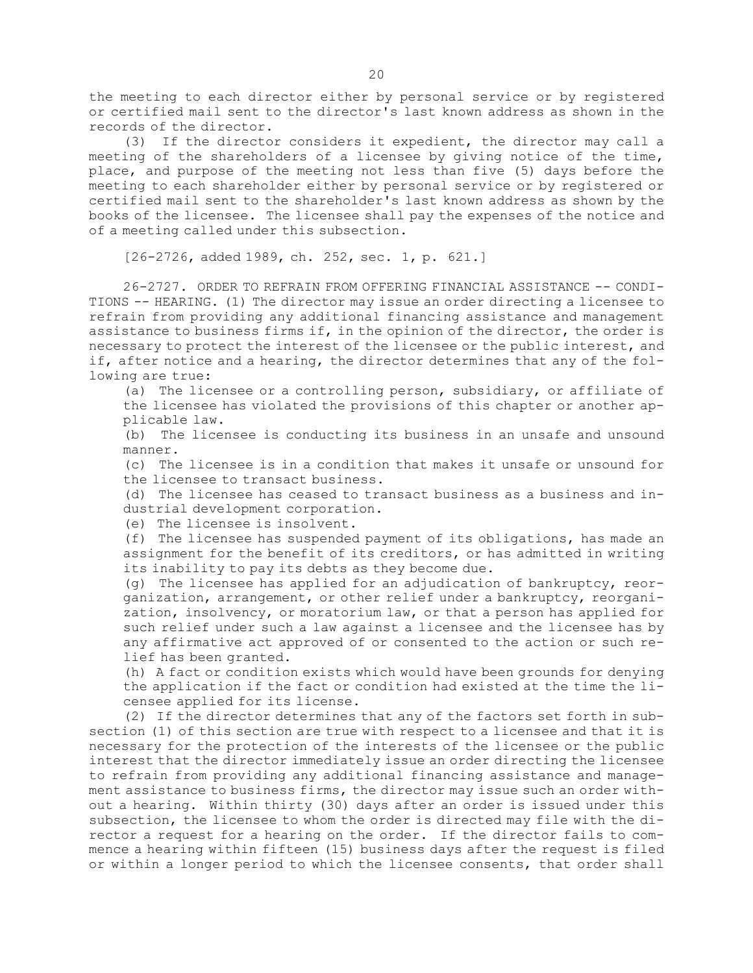the meeting to each director either by personal service or by registered or certified mail sent to the director's last known address as shown in the records of the director.

(3) If the director considers it expedient, the director may call <sup>a</sup> meeting of the shareholders of <sup>a</sup> licensee by giving notice of the time, place, and purpose of the meeting not less than five (5) days before the meeting to each shareholder either by personal service or by registered or certified mail sent to the shareholder's last known address as shown by the books of the licensee. The licensee shall pay the expenses of the notice and of <sup>a</sup> meeting called under this subsection.

[26-2726, added 1989, ch. 252, sec. 1, p. 621.]

26-2727. ORDER TO REFRAIN FROM OFFERING FINANCIAL ASSISTANCE -- CONDI-TIONS -- HEARING. (1) The director may issue an order directing <sup>a</sup> licensee to refrain from providing any additional financing assistance and management assistance to business firms if, in the opinion of the director, the order is necessary to protect the interest of the licensee or the public interest, and if, after notice and <sup>a</sup> hearing, the director determines that any of the following are true:

(a) The licensee or <sup>a</sup> controlling person, subsidiary, or affiliate of the licensee has violated the provisions of this chapter or another applicable law.

(b) The licensee is conducting its business in an unsafe and unsound manner.

(c) The licensee is in <sup>a</sup> condition that makes it unsafe or unsound for the licensee to transact business.

(d) The licensee has ceased to transact business as <sup>a</sup> business and industrial development corporation.

(e) The licensee is insolvent.

(f) The licensee has suspended payment of its obligations, has made an assignment for the benefit of its creditors, or has admitted in writing its inability to pay its debts as they become due.

(g) The licensee has applied for an adjudication of bankruptcy, reorganization, arrangement, or other relief under <sup>a</sup> bankruptcy, reorganization, insolvency, or moratorium law, or that <sup>a</sup> person has applied for such relief under such <sup>a</sup> law against <sup>a</sup> licensee and the licensee has by any affirmative act approved of or consented to the action or such relief has been granted.

(h) <sup>A</sup> fact or condition exists which would have been grounds for denying the application if the fact or condition had existed at the time the licensee applied for its license.

(2) If the director determines that any of the factors set forth in subsection (1) of this section are true with respect to <sup>a</sup> licensee and that it is necessary for the protection of the interests of the licensee or the public interest that the director immediately issue an order directing the licensee to refrain from providing any additional financing assistance and management assistance to business firms, the director may issue such an order without <sup>a</sup> hearing. Within thirty (30) days after an order is issued under this subsection, the licensee to whom the order is directed may file with the director <sup>a</sup> request for <sup>a</sup> hearing on the order. If the director fails to commence <sup>a</sup> hearing within fifteen (15) business days after the request is filed or within <sup>a</sup> longer period to which the licensee consents, that order shall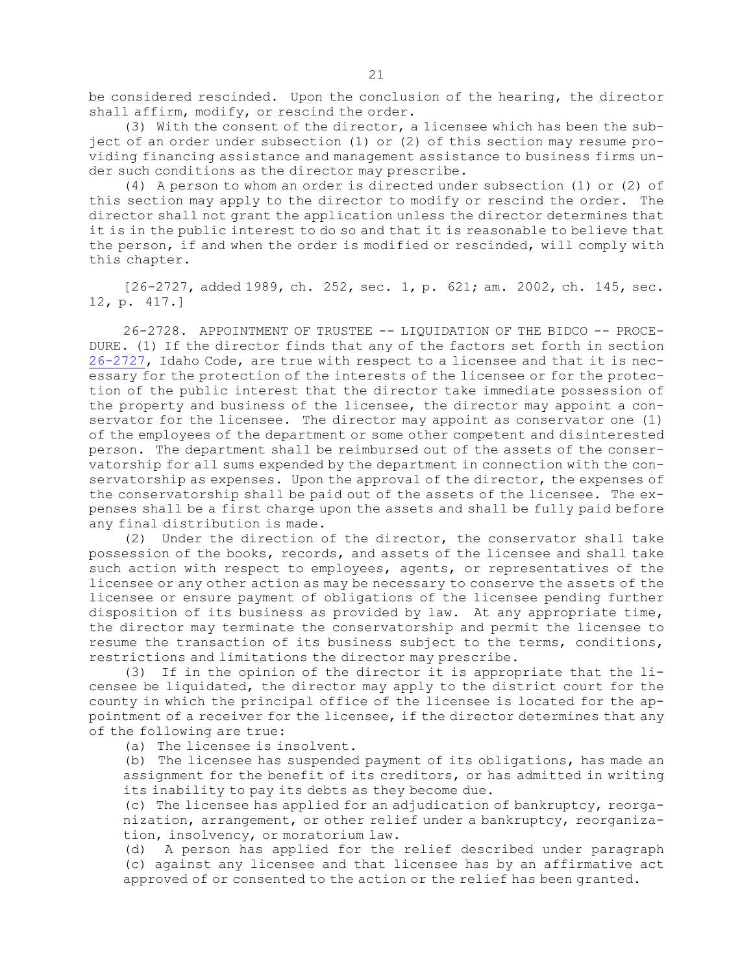be considered rescinded. Upon the conclusion of the hearing, the director shall affirm, modify, or rescind the order.

(3) With the consent of the director, <sup>a</sup> licensee which has been the subject of an order under subsection (1) or (2) of this section may resume providing financing assistance and management assistance to business firms under such conditions as the director may prescribe.

(4) <sup>A</sup> person to whom an order is directed under subsection (1) or (2) of this section may apply to the director to modify or rescind the order. The director shall not grant the application unless the director determines that it is in the public interest to do so and that it is reasonable to believe that the person, if and when the order is modified or rescinded, will comply with this chapter.

[26-2727, added 1989, ch. 252, sec. 1, p. 621; am. 2002, ch. 145, sec. 12, p. 417.]

26-2728. APPOINTMENT OF TRUSTEE -- LIQUIDATION OF THE BIDCO -- PROCE-DURE. (1) If the director finds that any of the factors set forth in section [26-2727](https://legislature.idaho.gov/statutesrules/idstat/Title26/T26CH27/SECT26-2727), Idaho Code, are true with respect to <sup>a</sup> licensee and that it is necessary for the protection of the interests of the licensee or for the protection of the public interest that the director take immediate possession of the property and business of the licensee, the director may appoint <sup>a</sup> conservator for the licensee. The director may appoint as conservator one (1) of the employees of the department or some other competent and disinterested person. The department shall be reimbursed out of the assets of the conservatorship for all sums expended by the department in connection with the conservatorship as expenses. Upon the approval of the director, the expenses of the conservatorship shall be paid out of the assets of the licensee. The expenses shall be <sup>a</sup> first charge upon the assets and shall be fully paid before any final distribution is made.

(2) Under the direction of the director, the conservator shall take possession of the books, records, and assets of the licensee and shall take such action with respect to employees, agents, or representatives of the licensee or any other action as may be necessary to conserve the assets of the licensee or ensure payment of obligations of the licensee pending further disposition of its business as provided by law. At any appropriate time, the director may terminate the conservatorship and permit the licensee to resume the transaction of its business subject to the terms, conditions, restrictions and limitations the director may prescribe.

(3) If in the opinion of the director it is appropriate that the licensee be liquidated, the director may apply to the district court for the county in which the principal office of the licensee is located for the appointment of <sup>a</sup> receiver for the licensee, if the director determines that any of the following are true:

(a) The licensee is insolvent.

(b) The licensee has suspended payment of its obligations, has made an assignment for the benefit of its creditors, or has admitted in writing its inability to pay its debts as they become due.

(c) The licensee has applied for an adjudication of bankruptcy, reorganization, arrangement, or other relief under <sup>a</sup> bankruptcy, reorganization, insolvency, or moratorium law.

(d) <sup>A</sup> person has applied for the relief described under paragraph (c) against any licensee and that licensee has by an affirmative act approved of or consented to the action or the relief has been granted.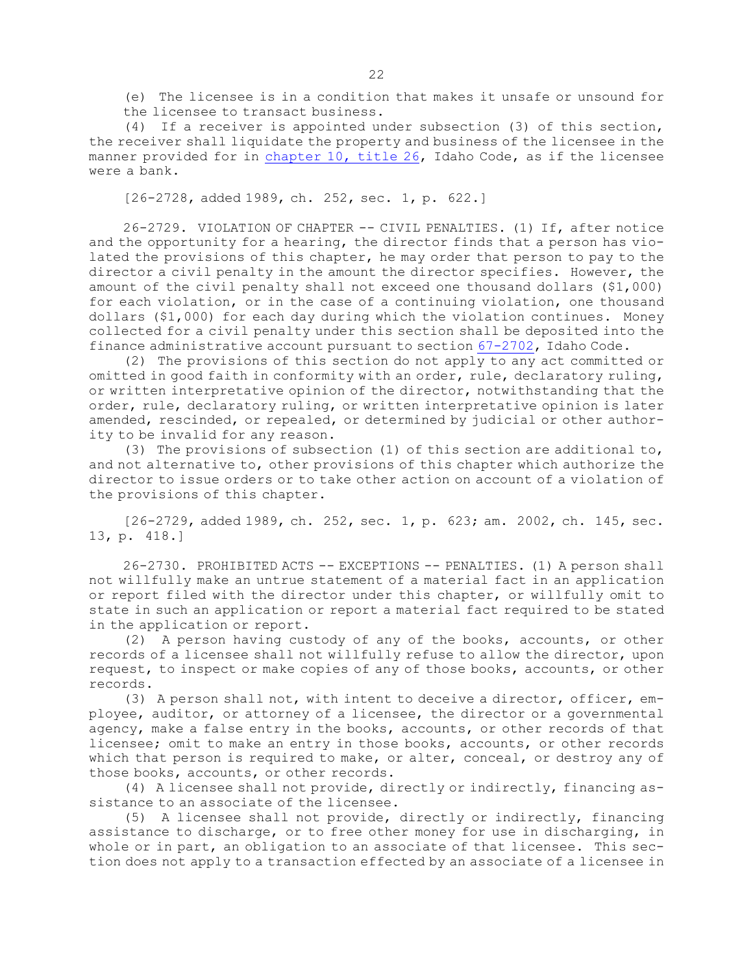(e) The licensee is in <sup>a</sup> condition that makes it unsafe or unsound for the licensee to transact business.

(4) If <sup>a</sup> receiver is appointed under subsection (3) of this section, the receiver shall liquidate the property and business of the licensee in the manner provided for in [chapter](https://legislature.idaho.gov/statutesrules/idstat/Title26/T26CH10) 10, title 26, Idaho Code, as if the licensee were a bank.

[26-2728, added 1989, ch. 252, sec. 1, p. 622.]

26-2729. VIOLATION OF CHAPTER -- CIVIL PENALTIES. (1) If, after notice and the opportunity for <sup>a</sup> hearing, the director finds that <sup>a</sup> person has violated the provisions of this chapter, he may order that person to pay to the director <sup>a</sup> civil penalty in the amount the director specifies. However, the amount of the civil penalty shall not exceed one thousand dollars (\$1,000) for each violation, or in the case of <sup>a</sup> continuing violation, one thousand dollars (\$1,000) for each day during which the violation continues. Money collected for <sup>a</sup> civil penalty under this section shall be deposited into the finance administrative account pursuant to section [67-2702](https://legislature.idaho.gov/statutesrules/idstat/Title67/T67CH27/SECT67-2702), Idaho Code.

(2) The provisions of this section do not apply to any act committed or omitted in good faith in conformity with an order, rule, declaratory ruling, or written interpretative opinion of the director, notwithstanding that the order, rule, declaratory ruling, or written interpretative opinion is later amended, rescinded, or repealed, or determined by judicial or other authority to be invalid for any reason.

(3) The provisions of subsection (1) of this section are additional to, and not alternative to, other provisions of this chapter which authorize the director to issue orders or to take other action on account of <sup>a</sup> violation of the provisions of this chapter.

[26-2729, added 1989, ch. 252, sec. 1, p. 623; am. 2002, ch. 145, sec. 13, p. 418.]

26-2730. PROHIBITED ACTS -- EXCEPTIONS -- PENALTIES. (1) A person shall not willfully make an untrue statement of <sup>a</sup> material fact in an application or report filed with the director under this chapter, or willfully omit to state in such an application or report <sup>a</sup> material fact required to be stated in the application or report.

(2) <sup>A</sup> person having custody of any of the books, accounts, or other records of <sup>a</sup> licensee shall not willfully refuse to allow the director, upon request, to inspect or make copies of any of those books, accounts, or other records.

(3) <sup>A</sup> person shall not, with intent to deceive <sup>a</sup> director, officer, employee, auditor, or attorney of <sup>a</sup> licensee, the director or <sup>a</sup> governmental agency, make <sup>a</sup> false entry in the books, accounts, or other records of that licensee; omit to make an entry in those books, accounts, or other records which that person is required to make, or alter, conceal, or destroy any of those books, accounts, or other records.

(4) <sup>A</sup> licensee shall not provide, directly or indirectly, financing assistance to an associate of the licensee.

(5) <sup>A</sup> licensee shall not provide, directly or indirectly, financing assistance to discharge, or to free other money for use in discharging, in whole or in part, an obligation to an associate of that licensee. This section does not apply to <sup>a</sup> transaction effected by an associate of <sup>a</sup> licensee in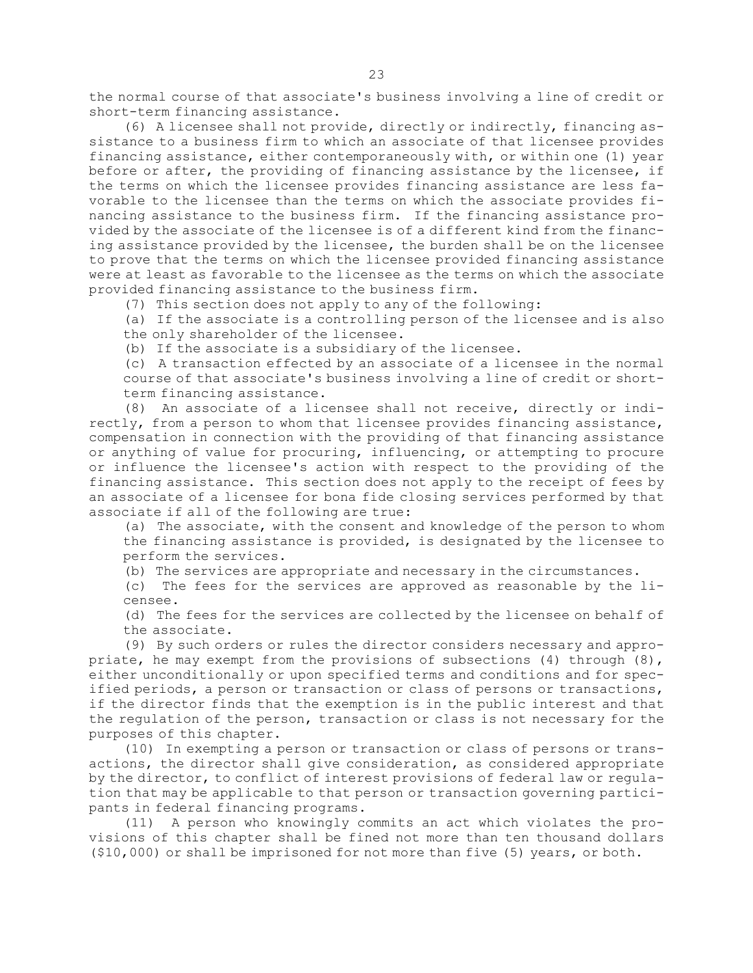the normal course of that associate's business involving <sup>a</sup> line of credit or short-term financing assistance.

(6) <sup>A</sup> licensee shall not provide, directly or indirectly, financing assistance to <sup>a</sup> business firm to which an associate of that licensee provides financing assistance, either contemporaneously with, or within one (1) year before or after, the providing of financing assistance by the licensee, if the terms on which the licensee provides financing assistance are less favorable to the licensee than the terms on which the associate provides financing assistance to the business firm. If the financing assistance provided by the associate of the licensee is of <sup>a</sup> different kind from the financing assistance provided by the licensee, the burden shall be on the licensee to prove that the terms on which the licensee provided financing assistance were at least as favorable to the licensee as the terms on which the associate provided financing assistance to the business firm.

(7) This section does not apply to any of the following:

(a) If the associate is <sup>a</sup> controlling person of the licensee and is also the only shareholder of the licensee.

(b) If the associate is <sup>a</sup> subsidiary of the licensee.

(c) <sup>A</sup> transaction effected by an associate of <sup>a</sup> licensee in the normal course of that associate's business involving <sup>a</sup> line of credit or shortterm financing assistance.

(8) An associate of <sup>a</sup> licensee shall not receive, directly or indirectly, from <sup>a</sup> person to whom that licensee provides financing assistance, compensation in connection with the providing of that financing assistance or anything of value for procuring, influencing, or attempting to procure or influence the licensee's action with respect to the providing of the financing assistance. This section does not apply to the receipt of fees by an associate of <sup>a</sup> licensee for bona fide closing services performed by that associate if all of the following are true:

(a) The associate, with the consent and knowledge of the person to whom the financing assistance is provided, is designated by the licensee to perform the services.

(b) The services are appropriate and necessary in the circumstances.

(c) The fees for the services are approved as reasonable by the licensee.

(d) The fees for the services are collected by the licensee on behalf of the associate.

(9) By such orders or rules the director considers necessary and appropriate, he may exempt from the provisions of subsections  $(4)$  through  $(8)$ , either unconditionally or upon specified terms and conditions and for specified periods, <sup>a</sup> person or transaction or class of persons or transactions, if the director finds that the exemption is in the public interest and that the regulation of the person, transaction or class is not necessary for the purposes of this chapter.

(10) In exempting <sup>a</sup> person or transaction or class of persons or transactions, the director shall give consideration, as considered appropriate by the director, to conflict of interest provisions of federal law or regulation that may be applicable to that person or transaction governing participants in federal financing programs.

(11) <sup>A</sup> person who knowingly commits an act which violates the provisions of this chapter shall be fined not more than ten thousand dollars (\$10,000) or shall be imprisoned for not more than five (5) years, or both.